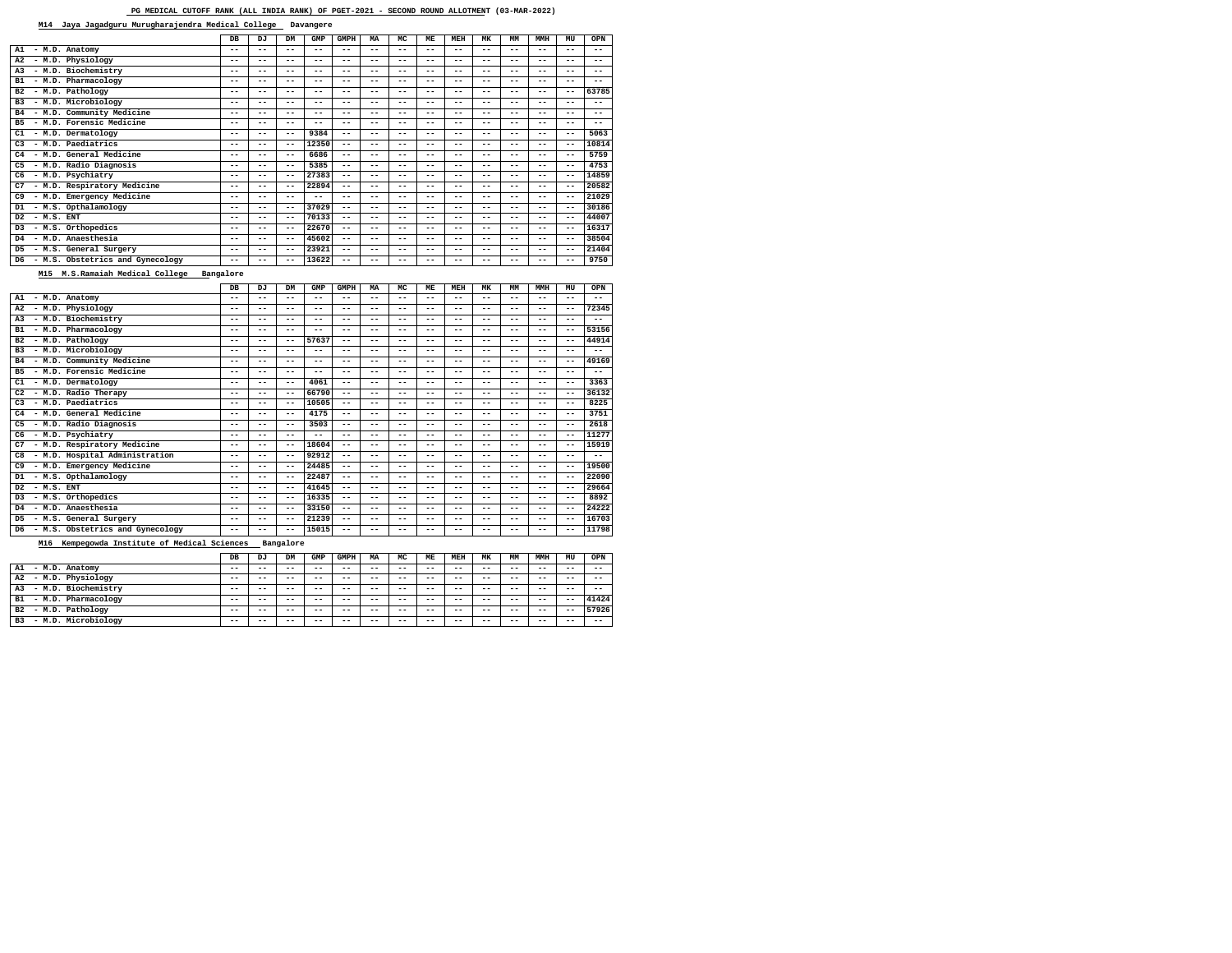### **M14 Jaya Jagadguru Murugharajendra Medical College Davangere**

### **M15 M.S.Ramaiah Medical College Bangalore**

### **M16 Kempegowda Institute of Medical Sciences Bangalore**

|                                             | DB    | DJ    | DM    | <b>GMP</b> | <b>GMPH</b> | MA    | <b>MC</b> | ME    | <b>MEH</b> | MK    | <b>MM</b> | <b>MMH</b> | MU    | <b>OPN</b> |
|---------------------------------------------|-------|-------|-------|------------|-------------|-------|-----------|-------|------------|-------|-----------|------------|-------|------------|
| - M.D. Anatomy<br>A1                        | $- -$ | $- -$ | $- -$ | $- -$      | $- -$       | --    | $- -$     | $- -$ | $ -$       | $- -$ | $- -$     | $- -$      | $- -$ | $- -$      |
| - M.D. Physiology<br>A2                     | $- -$ | --    | $- -$ | $- -$      | $- -$       | --    | $- -$     | $- -$ | $ -$       | $- -$ | $- -$     | $- -$      | $- -$ | $- -$      |
| - M.D. Biochemistry<br>A <sub>3</sub>       | $- -$ | $- -$ | $- -$ | $- -$      | $- -$       | $- -$ | $- -$     | $- -$ | $- -$      | $- -$ | $- -$     | $- -$      | $- -$ | $- -$      |
| - M.D. Pharmacology<br><b>B1</b>            | $- -$ | $- -$ | $- -$ | $- -$      | $- -$       | --    | $- -$     | $- -$ | $ -$       | $- -$ | $- -$     | $- -$      | $- -$ | $- -$      |
| - M.D. Pathology<br>B <sub>2</sub>          | --    | --    | $- -$ | $- -$      | $- -$       | --    | $- -$     | $- -$ | $ -$       | $- -$ | $- -$     | $- -$      | $- -$ | 63785      |
| - M.D. Microbiology<br>B <sub>3</sub>       | $- -$ | --    | $- -$ | $- -$      | $- -$       | $- -$ | $- -$     | $- -$ | $ -$       | $- -$ | $- -$     | $- -$      | $- -$ | $- -$      |
| - M.D. Community Medicine<br>B4             | $- -$ | --    | $- -$ | $- -$      | $- -$       | --    | $- -$     | $- -$ | $ -$       | $- -$ | $- -$     | $- -$      | --    | $- -$      |
| - M.D. Forensic Medicine<br><b>B5</b>       | --    | $- -$ | $- -$ | $- -$      | $- -$       | --    | $- -$     | $- -$ | $- -$      | $- -$ | $- -$     | $- -$      | $- -$ | $- -$      |
| - M.D. Dermatology<br>C1                    | $- -$ | $- -$ | $- -$ | 9384       | $- -$       | --    | $- -$     | $- -$ | $ -$       | $- -$ | $- -$     | $- -$      | $- -$ | 5063       |
| - M.D. Paediatrics<br>C <sub>3</sub>        | $- -$ | $- -$ | $- -$ | 12350      | $- -$       | --    | $- -$     | $- -$ | $ -$       | $- -$ | $- -$     | $- -$      | $- -$ | 10814      |
| - M.D. General Medicine<br>C <sub>4</sub>   | $- -$ | --    | $ -$  | 6686       | $- -$       | --    | $- -$     | $- -$ | $ -$       | $- -$ | $- -$     | $- -$      | $- -$ | 5759       |
| - M.D. Radio Diagnosis<br>C <sub>5</sub>    | $- -$ | --    | $- -$ | 5385       | $- -$       | --    | $- -$     | $- -$ | $ -$       | $- -$ | $- -$     | $- -$      | $- -$ | 4753       |
| - M.D. Psychiatry<br>C <sub>6</sub>         | $- -$ | $- -$ | $- -$ | 27383      | $- -$       | --    | $- -$     | $- -$ | $- -$      | $- -$ | $- -$     | $- -$      | $- -$ | 14859      |
| - M.D. Respiratory Medicine<br>C7           | $- -$ | $- -$ | $ -$  | 22894      | $- -$       | --    | $- -$     | $- -$ | $ -$       | $- -$ | $- -$     | $- -$      | $- -$ | 20582      |
| - M.D. Emergency Medicine<br>C <sub>9</sub> | $- -$ | --    | $- -$ | $- -$      | $- -$       | --    | $- -$     | $- -$ | $ -$       | $- -$ | $- -$     | $- -$      | $- -$ | 21029      |
| - M.S. Opthalamology<br>D1                  | $- -$ | $- -$ | $- -$ | 37029      | $- -$       | --    | $- -$     | $- -$ | $ -$       | $- -$ | $- -$     | $- -$      | $- -$ | 30186      |
| $-$ M.S. ENT<br>D <sub>2</sub>              | $- -$ | --    | $- -$ | 70133      | $- -$       | --    | $- -$     | $- -$ | $- -$      | $- -$ | $- -$     | $- -$      | $- -$ | 44007      |
| - M.S. Orthopedics<br>D <sub>3</sub>        | $- -$ | $- -$ | $- -$ | 22670      | $- -$       | --    | --        | $- -$ | $- -$      | $- -$ | $- -$     | $- -$      | $- -$ | 16317      |
| - M.D. Anaesthesia<br>D4                    | $- -$ | $- -$ | $- -$ | 45602      | $- -$       | --    | --        | $- -$ | $ -$       | $- -$ | $- -$     | $- -$      | $- -$ | 38504      |
| - M.S. General Surgery<br>D5                | $- -$ | --    | $- -$ | 23921      | $- -$       | --    | $- -$     | $- -$ | $ -$       | $- -$ | $- -$     | $- -$      | $- -$ | 21404      |
| - M.S. Obstetrics and Gynecology<br>D6      | --    | --    | $ -$  | 13622      | $- -$       | --    | $- -$     | $- -$ | $ -$       | $- -$ | $- -$     | $- -$      | $- -$ | 9750       |

|                                  |                                     | DB    | DJ    | <b>DM</b> | <b>GMP</b> | <b>GMPH</b> | MA    | <b>MC</b> | ME    | <b>MEH</b> | MK    | MM    | <b>MMH</b> | MU    | OPN   |
|----------------------------------|-------------------------------------|-------|-------|-----------|------------|-------------|-------|-----------|-------|------------|-------|-------|------------|-------|-------|
| A1                               | - M.D. Anatomy                      | $- -$ | $- -$ | $- -$     | --         | $- -$       | $- -$ | $- -$     | $- -$ | $- -$      | $- -$ | $- -$ | $- -$      | $- -$ | $- -$ |
| A2                               | - M.D. Physiology                   | $ -$  | $- -$ | $- -$     | $- -$      | $- -$       | $- -$ | $- -$     | $- -$ | $- -$      | $- -$ | $- -$ | $- -$      | $- -$ | 72345 |
| A3                               | - M.D. Biochemistry                 | $- -$ | --    | $- -$     | $- -$      | $- -$       | $- -$ | $- -$     | $- -$ | $- -$      | $- -$ | $- -$ | $- -$      | --    | $- -$ |
| B1                               | - M.D. Pharmacology                 | $ -$  | $- -$ | $- -$     | $- -$      | $- -$       | $- -$ | --        | $- -$ | $- -$      | $- -$ | $- -$ | $- -$      | $- -$ | 53156 |
| B2                               | - M.D. Pathology                    | $- -$ | --    | $- -$     | 57637      | $- -$       | --    | --        | $- -$ | $- -$      | $- -$ | $- -$ | $- -$      | $- -$ | 44914 |
| B <sub>3</sub>                   | - M.D. Microbiology                 | $- -$ | --    | --        | --         | --          | --    | --        | $ -$  | --         | $- -$ | $- -$ | --         | --    | $- -$ |
| B4                               | - M.D. Community Medicine           | $- -$ | $- -$ | $- -$     | $- -$      | $- -$       | $- -$ | $- -$     | $- -$ | $- -$      | $- -$ | $- -$ | $- -$      | $- -$ | 49169 |
| <b>B5</b>                        | - M.D. Forensic Medicine            | $- -$ | $- -$ | $- -$     | --         | $- -$       | $- -$ | --        | $- -$ | $- -$      | $- -$ | $- -$ | $- -$      | --    | $- -$ |
| C1                               | - M.D. Dermatology                  | $ -$  | $- -$ | $- -$     | 4061       | $- -$       | $- -$ | --        | $- -$ | $- -$      | $- -$ | $- -$ | $- -$      | $- -$ | 3363  |
| C2                               | - M.D. Radio Therapy                | $ -$  | $- -$ | $- -$     | 66790      | $- -$       | $- -$ | $- -$     | $- -$ | $- -$      | $- -$ | $- -$ | $- -$      | $- -$ | 36132 |
| C3                               | - M.D. Paediatrics                  | $- -$ | $- -$ | $ -$      | 10505      | $- -$       | $- -$ | $- -$     | $- -$ | $- -$      | $- -$ | $- -$ | $- -$      | $- -$ | 8225  |
| C4                               | - M.D. General Medicine             | $- -$ | --    | $- -$     | 4175       | $- -$       | --    | --        | $- -$ | $- -$      | $- -$ | $- -$ | $- -$      | --    | 3751  |
| C <sub>5</sub>                   | - M.D. Radio Diagnosis              | $ -$  | $- -$ | $- -$     | 3503       | $- -$       | $- -$ | --        | $ -$  | $- -$      | $ -$  | $- -$ | $- -$      | --    | 2618  |
| C <sub>6</sub>                   | - M.D. Psychiatry                   | $- -$ | $- -$ | $- -$     | $- -$      | $- -$       | $- -$ | --        | $- -$ | $- -$      | $- -$ | $- -$ | $- -$      | $- -$ | 11277 |
| C7                               | - M.D. Respiratory Medicine         | $ -$  | --    | $ -$      | 18604      | $- -$       | $- -$ | --        | $- -$ | $- -$      | $- -$ | $- -$ | $- -$      | --    | 15919 |
| C8                               | - M.D. Hospital Administration      | $- -$ | $- -$ | $- -$     | 92912      | $- -$       | $- -$ | $- -$     | $- -$ | $- -$      | $- -$ | $- -$ | $- -$      | --    | $- -$ |
| C <sub>9</sub>                   | - M.D. Emergency Medicine           | $- -$ | $- -$ | $- -$     | 24485      | $- -$       | $- -$ | --        | $- -$ | $- -$      | $- -$ | $- -$ | $- -$      | $- -$ | 19500 |
| D1                               | - M.S. Opthalamology                | $ -$  | $- -$ | $- -$     | 22487      | $- -$       | $- -$ | $- -$     | $- -$ | $- -$      | $- -$ | $- -$ | $- -$      | $- -$ | 22090 |
| $-$ M.S. $ENT$<br>D <sub>2</sub> |                                     | $- -$ | $- -$ | $- -$     | 41645      | $- -$       | $- -$ | $- -$     | $- -$ | $- -$      | $- -$ | $- -$ | $- -$      | $- -$ | 29664 |
| D <sub>3</sub>                   | - M.S. Orthopedics                  | $ -$  | $- -$ | $- -$     | 16335      | $- -$       | $- -$ | $- -$     | $- -$ | $- -$      | $- -$ | $- -$ | $- -$      | $- -$ | 8892  |
| D4                               | - M.D. Anaesthesia                  | $- -$ | --    | $ -$      | 33150      | $- -$       | --    | $- -$     | $- -$ | $- -$      | $- -$ | $- -$ | $- -$      | $- -$ | 24222 |
| D5                               | - M.S. General Surgery              | $- -$ | $- -$ | $- -$     | 21239      | $- -$       | --    | $- -$     | $- -$ | $- -$      | $- -$ | $- -$ | $- -$      | $ -$  | 16703 |
|                                  | D6 - M.S. Obstetrics and Gynecology | $- -$ | --    | $- -$     | 15015      | $- -$       | --    | --        | --    | $- -$      | $- -$ | $- -$ | $- -$      | --    | 11798 |

|                                       | DB    | DJ    | <b>DM</b> | GMP   | GMPH  | MA    | MC    | MЕ    | <b>MEH</b> | MK    | MМ    | MMH   | MU    | <b>OPN</b> |
|---------------------------------------|-------|-------|-----------|-------|-------|-------|-------|-------|------------|-------|-------|-------|-------|------------|
| A1<br>- M.D. Anatomy                  | $ -$  | $- -$ | $- -$     | $- -$ | $- -$ | $- -$ | $- -$ | $- -$ | $- -$      | $- -$ | $- -$ | $- -$ | $- -$ | $- -$      |
| - M.D. Physiology<br>A2               | $ -$  | $- -$ | $- -$     | $- -$ | $- -$ | --    | $- -$ | $- -$ | $- -$      | $- -$ | $- -$ | $- -$ | $- -$ | $- -$      |
| - M.D. Biochemistry<br>A <sub>3</sub> | $- -$ | $- -$ | $- -$     | $- -$ | $ -$  | $- -$ | $- -$ | $- -$ | $ -$       | $- -$ | $- -$ | $- -$ | $- -$ | $- -$      |
| B1<br>- M.D. Pharmacology             | --    | $- -$ | $- -$     | $- -$ | $ -$  | --    | $- -$ | $- -$ | $ -$       | $- -$ | $- -$ | $- -$ | $- -$ | 41424      |
| B <sub>2</sub><br>- M.D. Pathology    | $- -$ | $- -$ | $- -$     | $- -$ | $- -$ | $- -$ | $- -$ | $- -$ | $- -$      | $- -$ | $- -$ | $- -$ | $- -$ | 57926      |
| - M.D. Microbiology<br>B3             | $- -$ | $- -$ | $- -$     | $- -$ | $- -$ | $- -$ | $- -$ | $- -$ | $- -$      | $- -$ | $- -$ | $- -$ | $- -$ | $- -$      |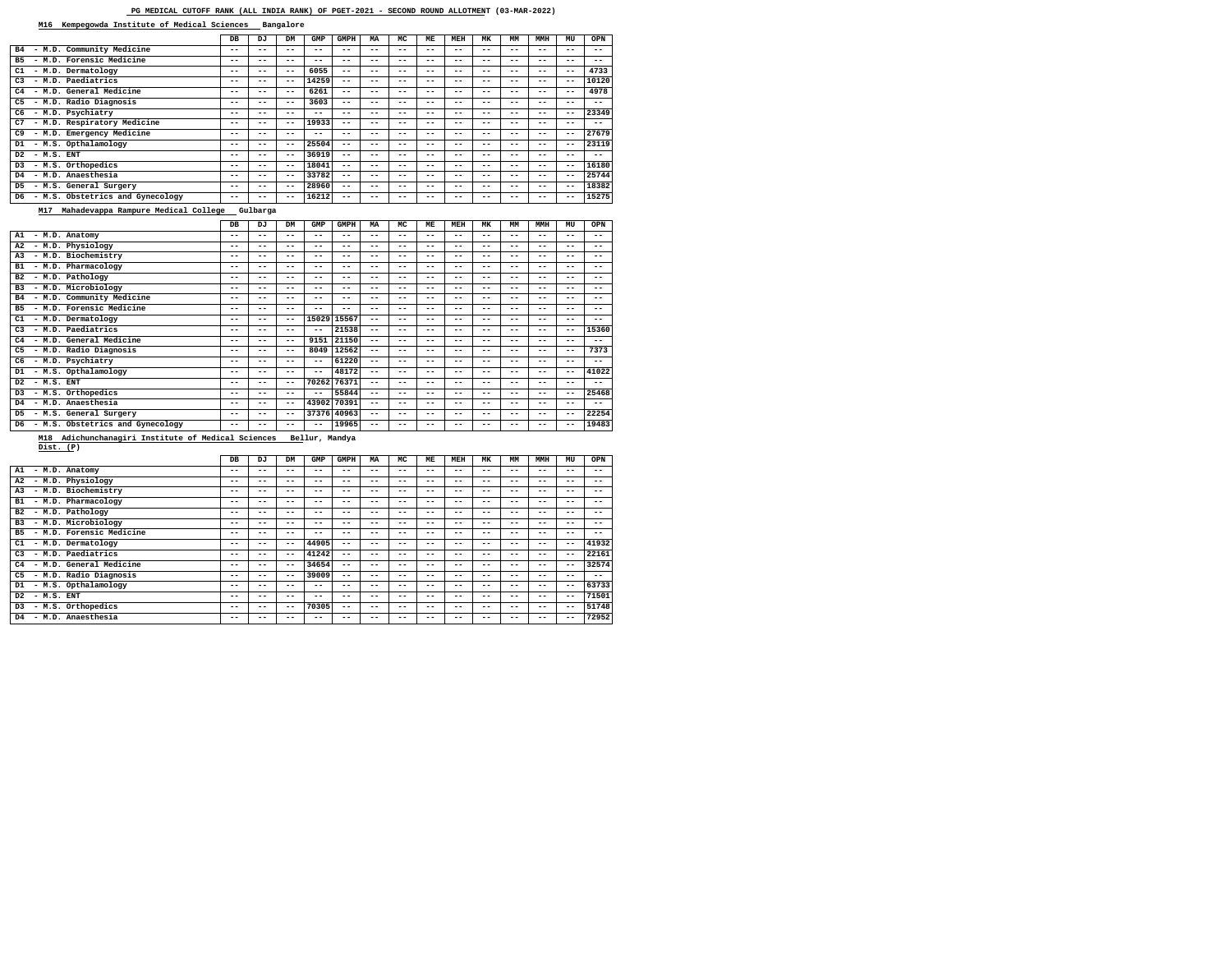### **M16 Kempegowda Institute of Medical Sciences Bangalore**

#### **M17 Mahadevappa Rampure Medical College Gulbarga**

**M18 Adichunchanagiri Institute of Medical Sciences Bellur, Mandya**

**Dist. (P)**

|                                             | <b>DB</b> | DJ    | DM    | GMP   | <b>GMPH</b> | MA    | MC    | <b>ME</b> | <b>MEH</b> | <b>MK</b> | MM    | <b>MMH</b> | MU    | OPN   |
|---------------------------------------------|-----------|-------|-------|-------|-------------|-------|-------|-----------|------------|-----------|-------|------------|-------|-------|
| - M.D. Community Medicine<br>B4             | $- -$     | $- -$ | $- -$ | --    | --          | --    | --    | --        | --         | $- -$     | $ -$  | --         | --    | --    |
| - M.D. Forensic Medicine<br><b>B5</b>       | $ -$      | --    | $ -$  | --    | $- -$       | --    | --    | --        | $ -$       | $- -$     | $ -$  | --         | --    | --    |
| C1<br>- M.D. Dermatology                    | $- -$     | --    | $- -$ | 6055  | --          | --    | --    | --        | --         | $- -$     | $- -$ | --         | --    | 4733  |
| - M.D. Paediatrics<br>C <sub>3</sub>        | $- -$     | --    | $- -$ | 14259 | $- -$       | --    | --    | --        | --         | --        | $ -$  | $- -$      | --    | 10120 |
| - M.D. General Medicine<br>C <sub>4</sub>   | $- -$     | --    | $- -$ | 6261  | $- -$       | --    | $- -$ | --        | $- -$      | $- -$     | $ -$  | --         | --    | 4978  |
| - M.D. Radio Diagnosis<br>C <sub>5</sub>    | $- -$     | $- -$ | $- -$ | 3603  | $- -$       | --    | $- -$ | --        | $- -$      | $- -$     | $ -$  | --         | --    | --    |
| - M.D. Psychiatry<br>C <sub>6</sub>         | $- -$     | --    | $- -$ | --    | --          | --    | --    | --        | --         | --        | $- -$ | --         | $- -$ | 23349 |
| C7<br>- M.D. Respiratory Medicine           | $ -$      | --    | $- -$ | 19933 | $- -$       | --    | --    | --        | --         | --        | $ -$  | --         | --    | $- -$ |
| C <sub>9</sub><br>- M.D. Emergency Medicine | $ -$      | --    | $ -$  | --    | $- -$       | --    | $- -$ | --        | $- -$      | $- -$     | $ -$  | $- -$      | $- -$ | 27679 |
| - M.S. Opthalamology<br>D1                  | $- -$     | --    | $- -$ | 25504 | $- -$       | --    | --    | --        | --         | $- -$     | $ -$  | --         | --    | 23119 |
| D <sub>2</sub><br>$-$ M.S. $ENT$            | $ -$      | --    | $- -$ | 36919 | $- -$       | --    | --    | --        | --         | --        | $ -$  | --         | --    | $- -$ |
| - M.S. Orthopedics<br>D3                    | $- -$     | $- -$ | $- -$ | 18041 | $- -$       | $- -$ | $- -$ | $- -$     | $- -$      | $- -$     | $- -$ | $- -$      | $- -$ | 16180 |
| - M.D. Anaesthesia<br>D4                    | $- -$     | --    | $- -$ | 33782 | $- -$       | --    | --    | --        | --         | $- -$     | $ -$  | --         | --    | 25744 |
| - M.S. General Surgery<br>D5                | $- -$     | --    | $ -$  | 28960 | $- -$       | --    | $- -$ | --        | --         | $- -$     | $- -$ | --         | $- -$ | 18382 |
| D6<br>- M.S. Obstetrics and Gynecology      | $- -$     | --    | $- -$ | 16212 | --          | --    | $- -$ | --        | --         | $- -$     | $- -$ | --         | $- -$ | 15275 |

|                                            | DB    | DJ    | DM    | GMP   | <b>GMPH</b> | МA    | MC    | ME    | <b>MEH</b> | МK    | MМ    | <b>MMH</b> | MU    | <b>OPN</b> |
|--------------------------------------------|-------|-------|-------|-------|-------------|-------|-------|-------|------------|-------|-------|------------|-------|------------|
| A1<br>- M.D. Anatomy                       | --    | --    | --    | --    | --          | $- -$ | $- -$ | $ -$  | --         | $- -$ | $- -$ | $- -$      | --    | $- -$      |
| - M.D. Physiology<br>A2                    | --    | --    | --    | --    | $- -$       | $- -$ | $- -$ | $ -$  | $- -$      | $- -$ | --    | $- -$      | $- -$ | $- -$      |
| - M.D. Biochemistry<br>A3                  | --    | --    | $- -$ | --    | $- -$       | $- -$ | $- -$ | $- -$ | $- -$      | $- -$ | $- -$ | $- -$      | --    | $- -$      |
| - M.D. Pharmacology<br>B1                  | --    | --    | $- -$ | --    | $- -$       | $- -$ | $- -$ | $- -$ | $- -$      | $- -$ | $- -$ | $- -$      | $- -$ | $- -$      |
| - M.D. Pathology<br>B2                     | --    | --    | --    | $- -$ | --          | $- -$ | $- -$ | $ -$  | $- -$      | $- -$ | --    | $- -$      | --    | $- -$      |
| - M.D. Microbiology<br>B3                  | --    | --    | --    | --    | $- -$       | $- -$ | $- -$ | $ -$  | --         | --    | --    | $- -$      | --    | $- -$      |
| - M.D. Community Medicine<br>B4            | --    | --    | --    | --    | --          | $- -$ | $- -$ | $ -$  | --         | --    | --    | $- -$      | --    | $ -$       |
| - M.D. Forensic Medicine<br>B <sub>5</sub> | --    | --    | $- -$ | $- -$ | --          | $- -$ | $- -$ | $ -$  | --         | $- -$ | $- -$ | $- -$      | --    | $- -$      |
| - M.D. Dermatology<br>C1                   | --    | --    | $- -$ | 15029 | 15567       | $- -$ | $- -$ | $ -$  | $- -$      | $- -$ | $- -$ | $- -$      | $- -$ | $- -$      |
| - M.D. Paediatrics<br>C3                   | --    | --    | $- -$ | $- -$ | 21538       | $- -$ | --    | $ -$  | $- -$      | --    | --    | $- -$      | $- -$ | 15360      |
| - M.D. General Medicine<br>C <sub>4</sub>  | $- -$ | --    | $- -$ | 9151  | 21150       | $- -$ | $- -$ | $ -$  | $- -$      | $- -$ | --    | $- -$      | --    | $- -$      |
| - M.D. Radio Diagnosis<br>C <sub>5</sub>   | --    | --    | $- -$ | 8049  | 12562       | $- -$ | $- -$ | $- -$ | $- -$      | --    | --    | $- -$      | $- -$ | 7373       |
| - M.D. Psychiatry<br>C <sub>6</sub>        | --    | --    | --    | $- -$ | 61220       | $- -$ | $- -$ | $ -$  | $- -$      | --    | --    | --         | --    | $- -$      |
| - M.S. Opthalamology<br>D1                 | $- -$ | --    | --    | $- -$ | 48172       | $- -$ | $- -$ | $ -$  | $- -$      | $- -$ | $- -$ | $- -$      | $- -$ | 41022      |
| $-$ M.S. $ENT$<br>D <sub>2</sub>           | --    | $- -$ | $- -$ | 70262 | 76371       | $- -$ | $- -$ | $- -$ | --         | $- -$ | $- -$ | $- -$      | $- -$ | $- -$      |
| - M.S. Orthopedics<br>D3                   | $- -$ | --    | $- -$ | $- -$ | 55844       | $- -$ | $- -$ | $- -$ | $- -$      | $- -$ | --    | $- -$      | $- -$ | 25468      |
| - M.D. Anaesthesia<br>D4                   | --    | --    | $- -$ | 43902 | 70391       | $- -$ | $- -$ | $ -$  | $- -$      | --    | --    | $- -$      | --    | $- -$      |
| - M.S. General Surgery<br>D5.              | --    | --    | $- -$ | 37376 | 40963       | $- -$ | $- -$ | $ -$  | --         | $- -$ | --    | $- -$      | $- -$ | 22254      |
| - M.S. Obstetrics and Gynecology<br>D6     | --    | - -   | --    | --    | 19965       | $ -$  | --    | $ -$  | --         | --    | --    | --         | --    | 19483      |

|                                            | DB    | DJ    | DM    | GMP   | <b>GMPH</b> | MA    | MC    | ME    | MEH   | MK    | MM    | <b>MMH</b> | MU    | <b>OPN</b> |
|--------------------------------------------|-------|-------|-------|-------|-------------|-------|-------|-------|-------|-------|-------|------------|-------|------------|
| A1<br>- M.D. Anatomy                       | $- -$ | $- -$ | --    | $- -$ | --          | --    | $- -$ | $- -$ | $ -$  | --    | $- -$ | $- -$      | --    | $- -$      |
| - M.D. Physiology<br>A2                    | $- -$ | $- -$ | $- -$ | $- -$ | --          | $- -$ | $- -$ | $- -$ | $ -$  | --    | $- -$ | $- -$      | --    | $- -$      |
| - M.D. Biochemistry<br>A <sub>3</sub>      | $- -$ | $ -$  | --    | --    | --          | --    | $- -$ | --    | $ -$  | --    | $- -$ | $- -$      | --    | $- -$      |
| - M.D. Pharmacology<br>B1                  | $- -$ | $ -$  | --    | --    | --          | --    | --    | --    | $ -$  | --    | $- -$ | $- -$      | --    | $- -$      |
| - M.D. Pathology<br>B <sub>2</sub>         | $- -$ | $- -$ | --    | $- -$ | --          | $- -$ | $- -$ | $- -$ | $ -$  | --    | $- -$ | $- -$      | --    | $- -$      |
| - M.D. Microbiology<br>B <sub>3</sub>      | $- -$ | $ -$  | --    | --    | --          | --    | $- -$ | $- -$ | $ -$  | --    | $- -$ | $- -$      | --    | $- -$      |
| - M.D. Forensic Medicine<br>B <sub>5</sub> | $- -$ | $- -$ | --    | $- -$ | --          | --    | $- -$ | --    | $ -$  | --    | $- -$ | $- -$      | --    | $- -$      |
| C1<br>- M.D. Dermatology                   | $- -$ | $- -$ | $- -$ | 44905 | $- -$       | $- -$ | $- -$ | $- -$ | $ -$  | --    | $- -$ | $- -$      | $- -$ | 41932      |
| - M.D. Paediatrics<br>C <sub>3</sub>       | $- -$ | $- -$ | $- -$ | 41242 | $- -$       | --    | $- -$ | --    | $- -$ | --    | $- -$ | $- -$      | $- -$ | 22161      |
| - M.D. General Medicine<br>C <sub>4</sub>  | $- -$ | $- -$ | $- -$ | 34654 | $- -$       | $- -$ | $- -$ | $- -$ | $ -$  | --    | $- -$ | $- -$      | $- -$ | 32574      |
| - M.D. Radio Diagnosis<br>C <sub>5</sub>   | $- -$ | $- -$ | $- -$ | 39009 | $- -$       | $- -$ | $- -$ | --    | $ -$  | --    | $- -$ | $- -$      | --    | $- -$      |
| - M.S. Opthalamology<br>D1                 | $- -$ | $- -$ | $- -$ | $- -$ | --          | --    | $- -$ | --    | $- -$ | $- -$ | $- -$ | $- -$      | $- -$ | 63733      |
| D <sub>2</sub><br>$-$ M.S. $ENT$           | $- -$ | $- -$ | --    | $- -$ | --          | --    | $- -$ | $- -$ | $- -$ | --    | $- -$ | $- -$      | $- -$ | 71501      |
| - M.S. Orthopedics<br>D <sub>3</sub>       | $- -$ | $- -$ | $- -$ | 70305 | $- -$       | --    | $- -$ | --    | $ -$  | --    | $- -$ | $- -$      | $- -$ | 51748      |
| - M.D. Anaesthesia<br>D4                   | $- -$ | --    |       | --    | --          | --    | $ -$  | $- -$ | --    | --    | $- -$ | $- -$      | $- -$ | 72952      |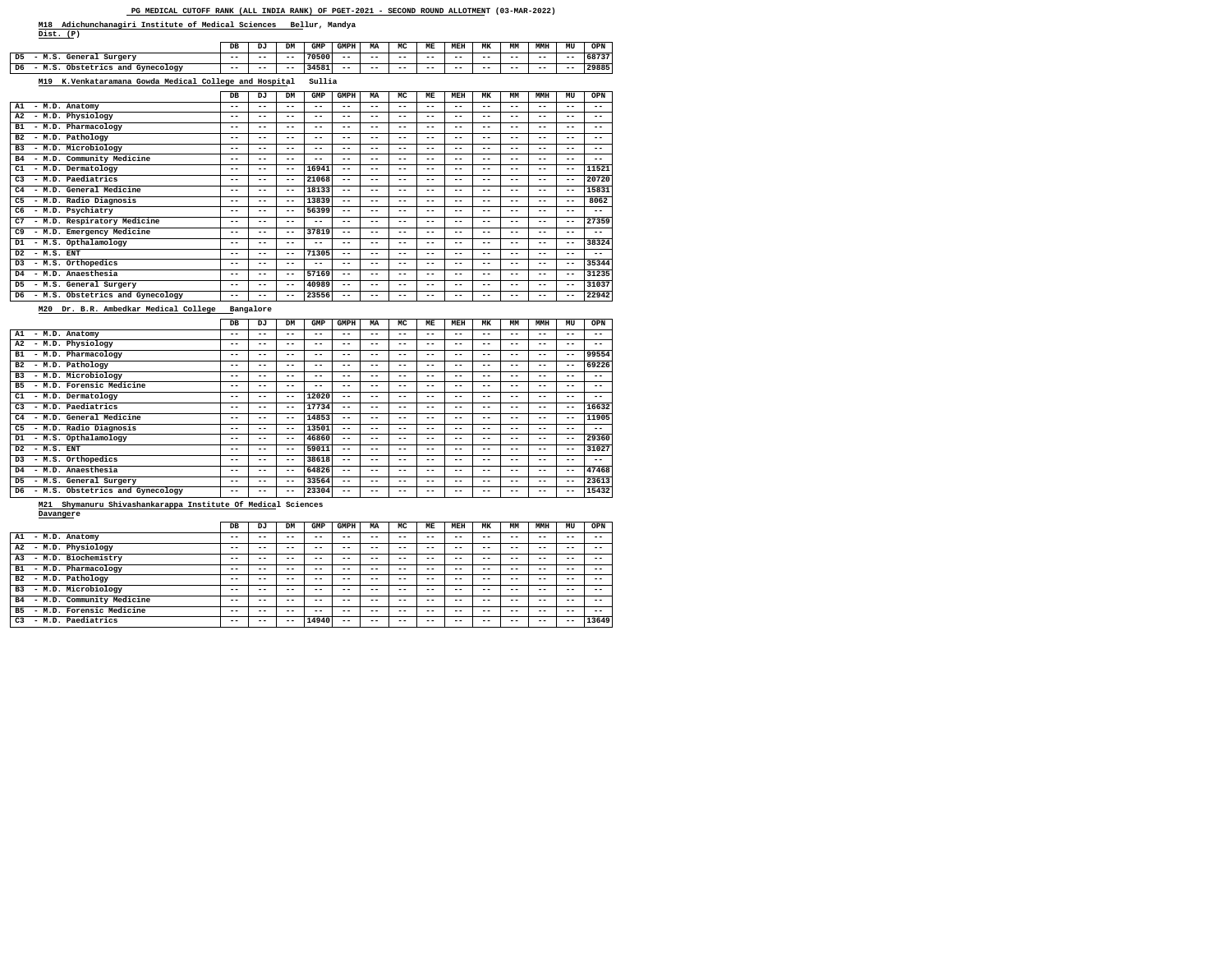**M18 Adichunchanagiri Institute of Medical Sciences Bellur, Mandya Dist. (P)**

**M20 Dr. B.R. Ambedkar Medical College Bangalore**

**M21 Shymanuru Shivashankarappa Institute Of Medical Sciences**

**Davangere**

|     |                                                           | DB    | DJ    | DM    | GMP    | GMPH  | MA    | MC    | MЕ    | MEH   | МK    | MМ    | MMH   | MU    | OPN   |
|-----|-----------------------------------------------------------|-------|-------|-------|--------|-------|-------|-------|-------|-------|-------|-------|-------|-------|-------|
| D5. | - M.S. General Surgery                                    | $- -$ | $- -$ | $- -$ | 70500  | $- -$ | $- -$ | $- -$ | $- -$ | $- -$ | $- -$ | $- -$ | $- -$ | $- -$ | 68737 |
| D6  | - M.S. Obstetrics and Gynecology                          | $- -$ | $- -$ | $- -$ | 34581  | $- -$ | $- -$ | $- -$ | $- -$ | $- -$ | $- -$ | $- -$ | $- -$ | $- -$ | 29885 |
|     | K.Venkataramana Gowda Medical College and Hospital<br>M19 |       |       |       | Sullia |       |       |       |       |       |       |       |       |       |       |

|                                           |                                  | DB    | DJ    | DM    | GMP   | <b>GMPH</b> | MA    | MC.   | ME    | MEH   | MK    | MM    | <b>MMH</b> | MU    | <b>OPN</b> |
|-------------------------------------------|----------------------------------|-------|-------|-------|-------|-------------|-------|-------|-------|-------|-------|-------|------------|-------|------------|
|                                           |                                  |       |       |       |       |             |       |       |       |       |       |       |            |       |            |
| - M.D. Anatomy<br>A1                      |                                  | $- -$ | $- -$ | --    | --    | --          | $- -$ | $- -$ | $ -$  | $- -$ | --    | --    | $- -$      | $- -$ | $- -$      |
| - M.D. Physiology<br>A2                   |                                  | $- -$ | $- -$ | --    | --    | --          | --    | $- -$ | $ -$  | $- -$ | --    | --    | $- -$      | --    | $ -$       |
| - M.D. Pharmacology<br>B1                 |                                  | $- -$ | $- -$ | --    | --    | $- -$       | $- -$ | $- -$ | $ -$  | $- -$ | $- -$ | --    | $- -$      | --    | $- -$      |
| - M.D. Pathology<br>B2                    |                                  | $- -$ | $- -$ | --    | $- -$ | $- -$       | --    | $- -$ | $ -$  | $- -$ | --    | --    | $- -$      | $- -$ | $- -$      |
| - M.D. Microbiology<br>B <sub>3</sub>     |                                  | $- -$ | $- -$ | --    | --    | --          | $- -$ | $- -$ | $ -$  | $- -$ | --    | $- -$ | $- -$      | $- -$ | $- -$      |
| в4                                        | - M.D. Community Medicine        | $- -$ | $- -$ | --    | $- -$ | --          | $- -$ | $- -$ | $ -$  | $- -$ | $- -$ | --    | $- -$      | --    | $- -$      |
| - M.D. Dermatology<br>C1                  |                                  | $- -$ | $- -$ | $- -$ | 16941 | $- -$       | --    | $- -$ | $ -$  | $- -$ | --    | --    | $- -$      | $- -$ | 11521      |
| - M.D. Paediatrics<br>C3                  |                                  | $- -$ | --    | $- -$ | 21068 | $- -$       | $- -$ | $- -$ | $ -$  | $- -$ | $- -$ | $- -$ | $- -$      | $- -$ | 20720      |
| - M.D. General Medicine<br>C <sub>4</sub> |                                  | $- -$ | --    | $- -$ | 18133 | $- -$       | --    | $- -$ | $ -$  | --    | --    | --    | --         | $- -$ | 15831      |
| - M.D. Radio Diagnosis<br>C <sub>5</sub>  |                                  | $- -$ | --    | $- -$ | 13839 | $- -$       | $- -$ | $- -$ | $ -$  | --    | $- -$ | --    | $- -$      | $- -$ | 8062       |
| - M.D. Psychiatry<br>C <sub>6</sub>       |                                  | $- -$ | --    | $- -$ | 56399 | $- -$       | $- -$ | $- -$ | $- -$ | --    | --    | $- -$ | $- -$      | --    | $- -$      |
| C7                                        | - M.D. Respiratory Medicine      | $- -$ | --    | $- -$ | $- -$ | $- -$       | --    | $- -$ | $ -$  | --    | $- -$ | --    | $- -$      | $- -$ | 27359      |
| C <sub>9</sub>                            | - M.D. Emergency Medicine        | $- -$ | $- -$ | $- -$ | 37819 | $- -$       | $- -$ | $- -$ | $- -$ | $- -$ | $- -$ | $- -$ | $- -$      | --    | $- -$      |
| - M.S. Opthalamology<br>D1                |                                  | $- -$ | --    | $- -$ | $- -$ | $- -$       | $- -$ | $- -$ | $ -$  | --    | --    | $- -$ | $- -$      | $- -$ | 38324      |
| $-$ M.S. ENT<br>D <sub>2</sub>            |                                  | $- -$ | --    | --    | 71305 | $- -$       | $- -$ | --    | $ -$  | --    | --    | --    | --         | --    | $- -$      |
| - M.S. Orthopedics<br>D3                  |                                  | $- -$ | --    | --    | $- -$ | --          | $- -$ | --    | $ -$  | --    | --    | --    | $- -$      | $- -$ | 35344      |
| - M.D. Anaesthesia<br>D4                  |                                  | $- -$ | $- -$ | $- -$ | 57169 | $- -$       | $- -$ | $- -$ | $ -$  | --    | --    | $- -$ | $- -$      | $- -$ | 31235      |
| - M.S. General Surgery<br>D5              |                                  | $- -$ | --    | $- -$ | 40989 | $- -$       | $- -$ | $- -$ | $- -$ | --    | $- -$ | $- -$ | $- -$      | $- -$ | 31037      |
| D6                                        | - M.S. Obstetrics and Gynecology | $- -$ | --    | $- -$ | 23556 | $- -$       | --    | --    | $ -$  | --    | --    | --    | --         | --    | 22942      |

|                                           | DB    | DJ    | <b>DM</b> | <b>GMP</b> | <b>GMPH</b> | MA    | MC    | ME    | MEH   | MK    | MM    | <b>MMH</b> | MU    | <b>OPN</b> |
|-------------------------------------------|-------|-------|-----------|------------|-------------|-------|-------|-------|-------|-------|-------|------------|-------|------------|
| - M.D. Anatomy<br>A1                      | $- -$ | --    | --        | --         | --          | --    | $ -$  | $- -$ | $- -$ | --    | --    | --         | --    | $- -$      |
| - M.D. Physiology<br>A2                   | $- -$ | $ -$  | --        | $- -$      | --          | --    | $- -$ | $- -$ | $- -$ | --    | --    | $- -$      | --    | $- -$      |
| - M.D. Pharmacology<br>B1                 | $ -$  | --    | --        | --         | --          | --    | $ -$  | $- -$ | $- -$ | --    | --    | --         | $- -$ | 99554      |
| - M.D. Pathology<br>B2                    | $- -$ | $ -$  | --        | $- -$      | $- -$       | --    | $- -$ | $- -$ | $- -$ | $- -$ | $- -$ | $- -$      | $- -$ | 69226      |
| - M.D. Microbiology<br>B <sub>3</sub>     | $- -$ | $ -$  | --        | --         | $- -$       | --    | $- -$ | $- -$ | $- -$ | $- -$ | --    | --         | --    | $- -$      |
| - M.D. Forensic Medicine<br><b>B5</b>     | $- -$ | --    | --        | --         | --          | --    | $- -$ | --    | $- -$ | --    | --    | --         | --    | $- -$      |
| C1<br>- M.D. Dermatology                  | $- -$ | $ -$  | $- -$     | 12020      | $- -$       | --    | $ -$  | $- -$ | $- -$ | --    | --    | --         | --    | $- -$      |
| - M.D. Paediatrics<br>C <sub>3</sub>      | $ -$  | $- -$ | --        | 17734      | --          | --    | $ -$  | $- -$ | $- -$ | --    | --    | --         | $- -$ | 16632      |
| - M.D. General Medicine<br>C <sub>4</sub> | $- -$ | $- -$ | $- -$     | 14853      | $- -$       | --    | $ -$  | $- -$ | $- -$ | --    | $- -$ | $- -$      | $- -$ | 11905      |
| - M.D. Radio Diagnosis<br>C <sub>5</sub>  | $- -$ | $- -$ | $- -$     | 13501      | $- -$       | $- -$ | $- -$ | $- -$ | $- -$ | --    | --    | $- -$      | --    | $- -$      |
| - M.S. Opthalamology<br>D1                | $- -$ | --    | $- -$     | 46860      | $- -$       | --    | $ -$  | $- -$ | $- -$ | --    | $- -$ | --         | $- -$ | 29360      |
| D <sub>2</sub><br>$-$ M.S. $ENT$          | $ -$  | $ -$  | $- -$     | 59011      | $- -$       | --    | $ -$  | $- -$ | $- -$ | --    | --    | --         | $- -$ | 31027      |
| - M.S. Orthopedics<br>D <sub>3</sub>      | $- -$ | $- -$ | $- -$     | 38618      | $- -$       | $- -$ | $- -$ | $- -$ | $- -$ | $- -$ | --    | --         | --    | $- -$      |
| - M.D. Anaesthesia<br>D4                  | $- -$ | $- -$ | $- -$     | 64826      | --          | --    | $ -$  | $- -$ | $- -$ | --    | --    | $- -$      | $- -$ | 47468      |
| - M.S. General Surgery<br>D5              | $- -$ | $- -$ | $- -$     | 33564      | $- -$       | $- -$ | $- -$ | $- -$ | $- -$ | --    | --    | $- -$      | $- -$ | 23613      |
| - M.S. Obstetrics and Gynecology<br>D6    | $ -$  | --    | --        | 23304      | --          | - -   | --    |       | --    |       | --    | - -        | --    | 15432      |

|                                       | DB    | DJ    | DM    | GMP   | GMPH  | MA    | MC    | ME    | MEH   | МK    | МM    | MMH   | MU    | <b>OPN</b> |
|---------------------------------------|-------|-------|-------|-------|-------|-------|-------|-------|-------|-------|-------|-------|-------|------------|
| A1<br>- M.D. Anatomy                  | $- -$ | $ -$  | $- -$ | $- -$ | $- -$ | $- -$ | $- -$ | $- -$ | $- -$ | $- -$ | $- -$ | $- -$ | $- -$ | $- -$      |
| - M.D. Physiology<br>A2               | $- -$ | $- -$ | $- -$ | $- -$ | $- -$ | $- -$ | $- -$ | $- -$ | $- -$ | $ -$  | $- -$ | $- -$ | $- -$ | --         |
| - M.D. Biochemistry<br>A <sub>3</sub> | $- -$ | --    | $- -$ | $ -$  | $- -$ | --    | --    | $- -$ | --    | $ -$  | $ -$  | $- -$ | --    | $- -$      |
| - M.D. Pharmacology<br>B1             | $- -$ | --    | $- -$ | $- -$ | $- -$ | $- -$ | $- -$ | $- -$ | $- -$ | $- -$ | $- -$ | $- -$ | $- -$ | --         |
| - M.D. Pathology<br>B2                | $- -$ | - -   | $- -$ | $- -$ | $- -$ | --    | $- -$ | --    | --    | --    | $- -$ | $- -$ | $- -$ | --         |
| - M.D. Microbiology<br>B3             | $ -$  | --    | $- -$ | $ -$  | $- -$ | --    | $- -$ | --    | $ -$  | $ -$  | $ -$  | $- -$ | --    | $- -$      |
| - M.D. Community Medicine<br>B4       | $- -$ | --    | $- -$ | $- -$ | $- -$ | $- -$ | $- -$ | $- -$ | $- -$ | $- -$ | $- -$ | $- -$ | --    | $- -$      |
| - M.D. Forensic Medicine<br><b>B5</b> | $- -$ | --    | $- -$ | $- -$ | $- -$ | --    | $- -$ | $- -$ | $- -$ | $ -$  | $ -$  | $- -$ | $- -$ | $- -$      |
| - M.D. Paediatrics<br>C <sub>3</sub>  | $- -$ | $- -$ | $- -$ | 14940 | $- -$ | --    | $- -$ | --    | --    | --    | $- -$ | $- -$ | $- -$ | 13649      |

**PG MEDICAL CUTOFF RANK (ALL INDIA RANK) OF PGET-2021 - SECOND ROUND ALLOTMENT (03-MAR-2022)**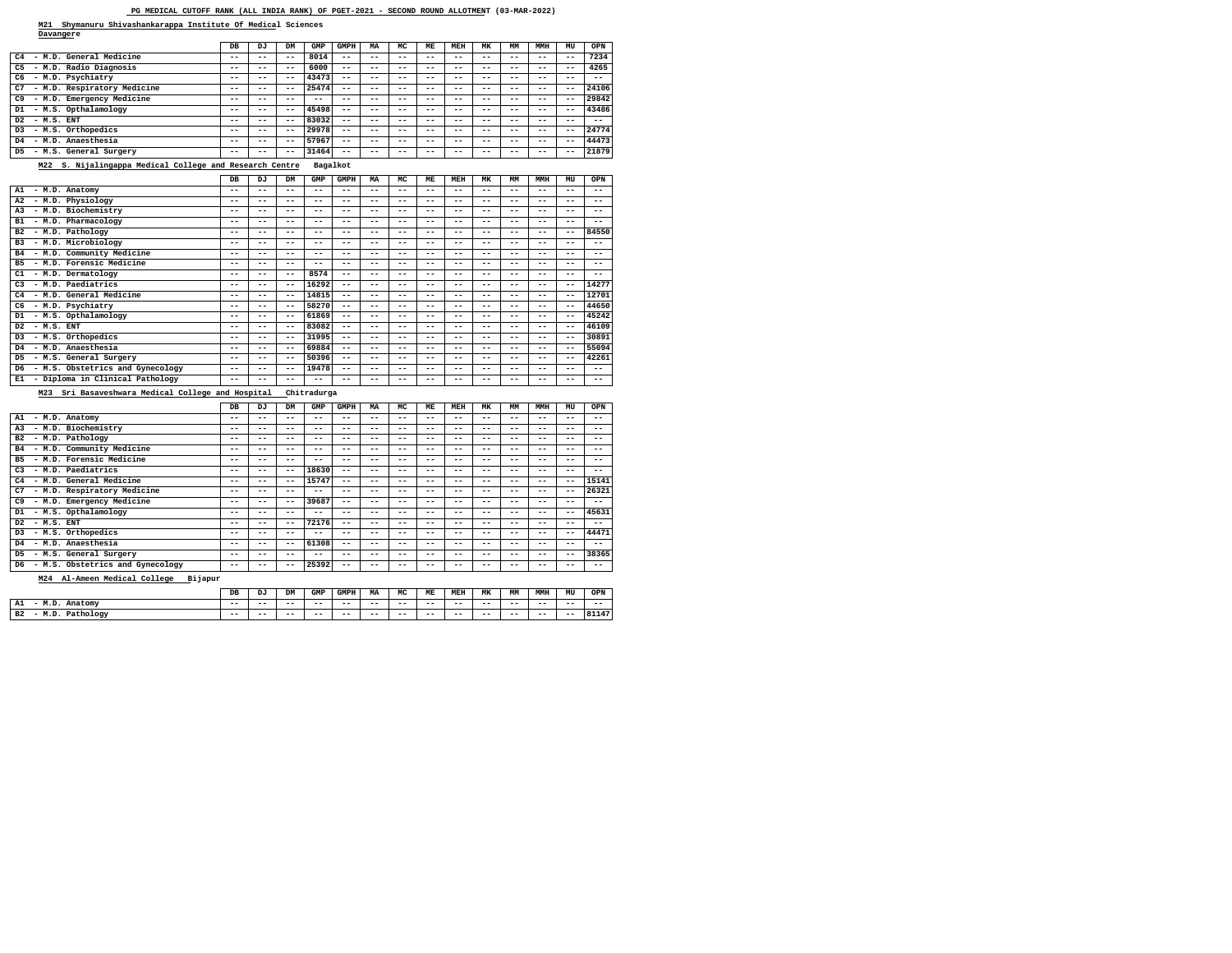**M21 Shymanuru Shivashankarappa Institute Of Medical Sciences Davangere**

**M22 S. Nijalingappa Medical College and Research Centre Bagalkot**

# **M23 Sri Basaveshwara Medical College and Hospital Chitradurga**

#### **M24 Al-Ameen Medical College Bijapur**

|                                             | DB    | DJ    | <b>DM</b> | GMP   | <b>GMPH</b> | MA    | MC    | МE    | MEH   | МK    | MM    | MMH   | MU    | <b>OPN</b> |
|---------------------------------------------|-------|-------|-----------|-------|-------------|-------|-------|-------|-------|-------|-------|-------|-------|------------|
| C <sub>4</sub><br>- M.D. General Medicine   | $- -$ | $- -$ | $- -$     | 8014  | $- -$       | $- -$ | $- -$ | $- -$ | $- -$ | $- -$ | $- -$ | $- -$ | $- -$ | 7234       |
| - M.D. Radio Diagnosis<br>C <sub>5</sub>    | $- -$ | --    | $- -$     | 6000  | $- -$       | --    | $- -$ | --    | $ -$  | --    | $ -$  | $- -$ | $ -$  | 4265       |
| - M.D. Psychiatry<br>C <sub>6</sub>         | $- -$ | $- -$ | $- -$     | 43473 | $- -$       | $ -$  | $ -$  | --    | --    | --    | $ -$  | $- -$ | --    | $- -$      |
| - M.D. Respiratory Medicine<br>C7           | $- -$ | $- -$ | $- -$     | 25474 | $- -$       | $- -$ | $- -$ | $- -$ | $- -$ | --    | $- -$ | $- -$ | $- -$ | 24106      |
| C <sub>9</sub><br>- M.D. Emergency Medicine | $- -$ | - -   | $- -$     | $- -$ | --          |       | $- -$ | $- -$ | $- -$ | $- -$ | $ -$  | $- -$ | $- -$ | 29842      |
| - M.S. Opthalamology<br>D1                  | $- -$ | $- -$ | $- -$     | 45498 | $- -$       | --    | $- -$ | --    | $ -$  | --    | --    | $- -$ | $ -$  | 43486      |
| D <sub>2</sub><br>$-$ M.S. $ENT$            | $- -$ | $- -$ | $- -$     | 83032 | $- -$       | $- -$ | $- -$ | $- -$ | $- -$ | --    | $- -$ | $- -$ | $ -$  | $- -$      |
| - M.S. Orthopedics<br>D <sub>3</sub>        | $- -$ | $- -$ | $- -$     | 29978 | $- -$       | $ -$  | $- -$ | $- -$ | $- -$ | $- -$ | $ -$  | $- -$ | $- -$ | 24774      |
| - M.D. Anaesthesia<br>D4                    | $- -$ | $- -$ | $- -$     | 57967 | $- -$       | $- -$ | $- -$ | $- -$ | $- -$ | $- -$ | $- -$ | $- -$ | $- -$ | 44473      |
| D5.<br>- M.S. General Surgery               | $- -$ | --    | $- -$     | 31464 | $- -$       | $- -$ | $- -$ | $- -$ | $- -$ | $- -$ | $- -$ | $- -$ | $- -$ | 21879      |

|                                            | DB    | DJ | DM    | GMP   | <b>GMPH</b> | MA    | MC    | ME    | <b>MEH</b> | MK    | MM    | <b>MMH</b> | MU    | <b>OPN</b> |
|--------------------------------------------|-------|----|-------|-------|-------------|-------|-------|-------|------------|-------|-------|------------|-------|------------|
| A1<br>- M.D. Anatomy                       | $- -$ | -- | $- -$ | --    | $- -$       | $- -$ | $- -$ | --    | --         | $- -$ | $- -$ | $- -$      | $- -$ | $- -$      |
| - M.D. Physiology<br>A <sub>2</sub>        | $- -$ | -- | --    | $- -$ | $- -$       | --    | $- -$ | $- -$ | --         | --    | $- -$ | $- -$      | $- -$ | $- -$      |
| - M.D. Biochemistry<br>A <sub>3</sub>      | $- -$ | -- | --    | $- -$ | $- -$       | $- -$ | --    | $- -$ | $- -$      | $- -$ | $- -$ | $- -$      | $- -$ | $- -$      |
| - M.D. Pharmacology<br><b>B1</b>           | --    | -- | --    | $- -$ | $ -$        | --    | --    | --    | --         | --    | $- -$ | $- -$      | --    | $- -$      |
| - M.D. Pathology<br>B <sub>2</sub>         | --    | -- | --    | $- -$ | $ -$        | --    | --    | --    | --         | --    | $- -$ | $- -$      | $- -$ | 84550      |
| - M.D. Microbiology<br>B <sub>3</sub>      | --    | -- | --    | $- -$ | $ -$        | --    | --    | --    | --         | --    | $- -$ | $- -$      | --    | $- -$      |
| - M.D. Community Medicine<br>в4            | $- -$ | -- | --    | $- -$ | $ -$        | $- -$ | --    | $- -$ | --         | $- -$ | $- -$ | $- -$      | $- -$ | $- -$      |
| - M.D. Forensic Medicine<br>B <sub>5</sub> | --    | -- | $- -$ | $- -$ | $ -$        | --    | $- -$ | --    | --         | --    | $- -$ | $ -$       | $- -$ | $- -$      |
| - M.D. Dermatology<br>C1                   | $- -$ | -- | $- -$ | 8574  | $- -$       | $- -$ | $- -$ | --    | --         | --    | $- -$ | $- -$      | $- -$ | $- -$      |
| - M.D. Paediatrics<br>C <sub>3</sub>       | $- -$ | -- | $- -$ | 16292 | $- -$       | $ -$  | $- -$ | --    | --         | --    | $- -$ | $- -$      | $- -$ | 14277      |
| - M.D. General Medicine<br>C <sub>4</sub>  | $- -$ | -- | $- -$ | 14815 | $- -$       | $- -$ | $- -$ | $- -$ | --         | --    | $- -$ | $- -$      | $- -$ | 12701      |
| - M.D. Psychiatry<br>C6                    | --    | -- | $- -$ | 58270 | $- -$       | $ -$  | $- -$ | --    | --         | --    | $- -$ | $- -$      | $- -$ | 44650      |
| - M.S. Opthalamology<br>D1                 | --    | -- | $- -$ | 61869 | $- -$       | $- -$ | $- -$ | --    | --         | --    | $- -$ | $- -$      | $- -$ | 45242      |
| $-$ M.S. $ENT$<br>D <sub>2</sub>           | $- -$ | -- | $- -$ | 83082 | $- -$       | $ -$  | $- -$ | --    | --         | --    | $- -$ | $- -$      | $- -$ | 46109      |
| - M.S. Orthopedics<br>D3                   | $- -$ | -- | $- -$ | 31995 | $- -$       | $- -$ | --    | $- -$ | --         | $- -$ | $- -$ | $- -$      | $- -$ | 30891      |
| - M.D. Anaesthesia<br>D4                   | --    | -- | $- -$ | 69884 | $ -$        | --    | --    | --    | --         | --    | $- -$ | $- -$      | $- -$ | 55094      |
| - M.S. General Surgery<br>D5               | --    | -- | $- -$ | 50396 | $- -$       | $- -$ | --    | --    | --         | --    | $- -$ | $- -$      | $- -$ | 42261      |
| - M.S. Obstetrics and Gynecology<br>D6     | $- -$ | -- | $- -$ | 19478 | $- -$       | $- -$ | --    | --    | --         | --    | $- -$ | $- -$      | --    | $- -$      |
| - Diploma in Clinical Pathology<br>Е1      | --    | -- | --    | $- -$ | $ -$        | --    | --    | --    | --         | --    | $- -$ | $- -$      | --    | $- -$      |

|                                            | DB    | DJ    | DM    | GMP   | <b>GMPH</b> | MA | MC    | ME    | <b>MEH</b> | MK    | MM    | <b>MMH</b> | MU    | <b>OPN</b> |
|--------------------------------------------|-------|-------|-------|-------|-------------|----|-------|-------|------------|-------|-------|------------|-------|------------|
| A1<br>- M.D. Anatomy                       | $- -$ | $- -$ | $ -$  | --    | --          | -- | $- -$ | $- -$ | $- -$      | $- -$ | $- -$ | $- -$      | --    | $- -$      |
| - M.D. Biochemistry<br>A <sub>3</sub>      | $- -$ | --    | $- -$ | $- -$ | --          | -- | --    | $- -$ | $ -$       | --    | $ -$  | --         | --    | $- -$      |
| - M.D. Pathology<br>B2                     | $- -$ | --    | $ -$  | $- -$ | --          | -- | $- -$ | $- -$ | $ -$       | --    | $- -$ | --         | --    | $- -$      |
| - M.D. Community Medicine<br>B4            | --    | --    | $ -$  | $- -$ | --          | -- | --    | $- -$ | $ -$       | --    | $ -$  | --         | --    | $- -$      |
| - M.D. Forensic Medicine<br>B <sub>5</sub> | $- -$ | --    | $ -$  | $- -$ | --          | -- | --    | $- -$ | $ -$       | --    | $- -$ | $- -$      | --    | $- -$      |
| - M.D. Paediatrics<br>C <sub>3</sub>       | $- -$ | $- -$ | $- -$ | 18630 | --          | -- | $- -$ | $- -$ | $- -$      | $- -$ | $- -$ | $- -$      | --    | $- -$      |
| - M.D. General Medicine<br>C <sub>4</sub>  | --    | --    | $- -$ | 15747 | $- -$       | -- | --    | $- -$ | $- -$      | --    | $- -$ | $- -$      | $- -$ | 15141      |
| - M.D. Respiratory Medicine<br>C7          | --    | --    | $ -$  | $- -$ | $- -$       | -- | --    | $- -$ | $ -$       | --    | $- -$ | --         | $- -$ | 26321      |
| - M.D. Emergency Medicine<br>C9            | $- -$ | $- -$ | $- -$ | 39687 | $- -$       | -- | $- -$ | $- -$ | $ -$       | --    | $- -$ | $- -$      | --    | $- -$      |
| - M.S. Opthalamology<br>D1                 | $- -$ | $- -$ | $- -$ | --    | --          | -- | $- -$ | $- -$ | $- -$      | $- -$ | $- -$ | --         | $- -$ | 45631      |
| D <sub>2</sub><br>$-$ M.S. $ENT$           | $- -$ | $- -$ | $- -$ | 72176 | $- -$       | -- | --    | $- -$ | $ -$       | --    | $ -$  | --         | --    | $- -$      |
| - M.S. Orthopedics<br>D <sub>3</sub>       | $- -$ | $- -$ | $- -$ | $- -$ | --          | -- | $- -$ | $- -$ | $- -$      | $- -$ | $- -$ | $- -$      | $- -$ | 44471      |
| - M.D. Anaesthesia<br>D4                   | --    | --    | $- -$ | 61308 | $- -$       | -- | --    | $- -$ | $- -$      | --    | $ -$  | --         | --    | $- -$      |
| - M.S. General Surgery<br>D5               | $- -$ | --    | $- -$ | $- -$ | --          | -- | $- -$ | $- -$ | $- -$      | --    | $- -$ | $- -$      | $- -$ | 38365      |
| D6<br>- M.S. Obstetrics and Gynecology     | $- -$ | --    | $- -$ | 25392 | --          | -- | $- -$ | $- -$ | $ -$       | --    | $ -$  | --         | --    | $- -$      |

|                                    | DB    | DJ    | <b>DM</b> | <b>GMP</b> | <b>GMPH</b> | MA    | MC    | MЕ    | MEH   | МK    | MМ    | MMH   | MU    | <b>OPN</b>    |
|------------------------------------|-------|-------|-----------|------------|-------------|-------|-------|-------|-------|-------|-------|-------|-------|---------------|
| A1<br>Anatomv                      | $- -$ | $- -$ | $- -$     | $- -$      | $- -$       | $- -$ | $- -$ | $- -$ | $- -$ | $- -$ | $- -$ | $- -$ | $- -$ | $- -$         |
| Pathology<br>B2<br>-<br><b>M.L</b> | $- -$ | $- -$ | $- -$     | $- -$      | $- -$       | $- -$ | $- -$ | $- -$ | $- -$ | $- -$ | $- -$ | $- -$ | $- -$ | 01117<br>---- |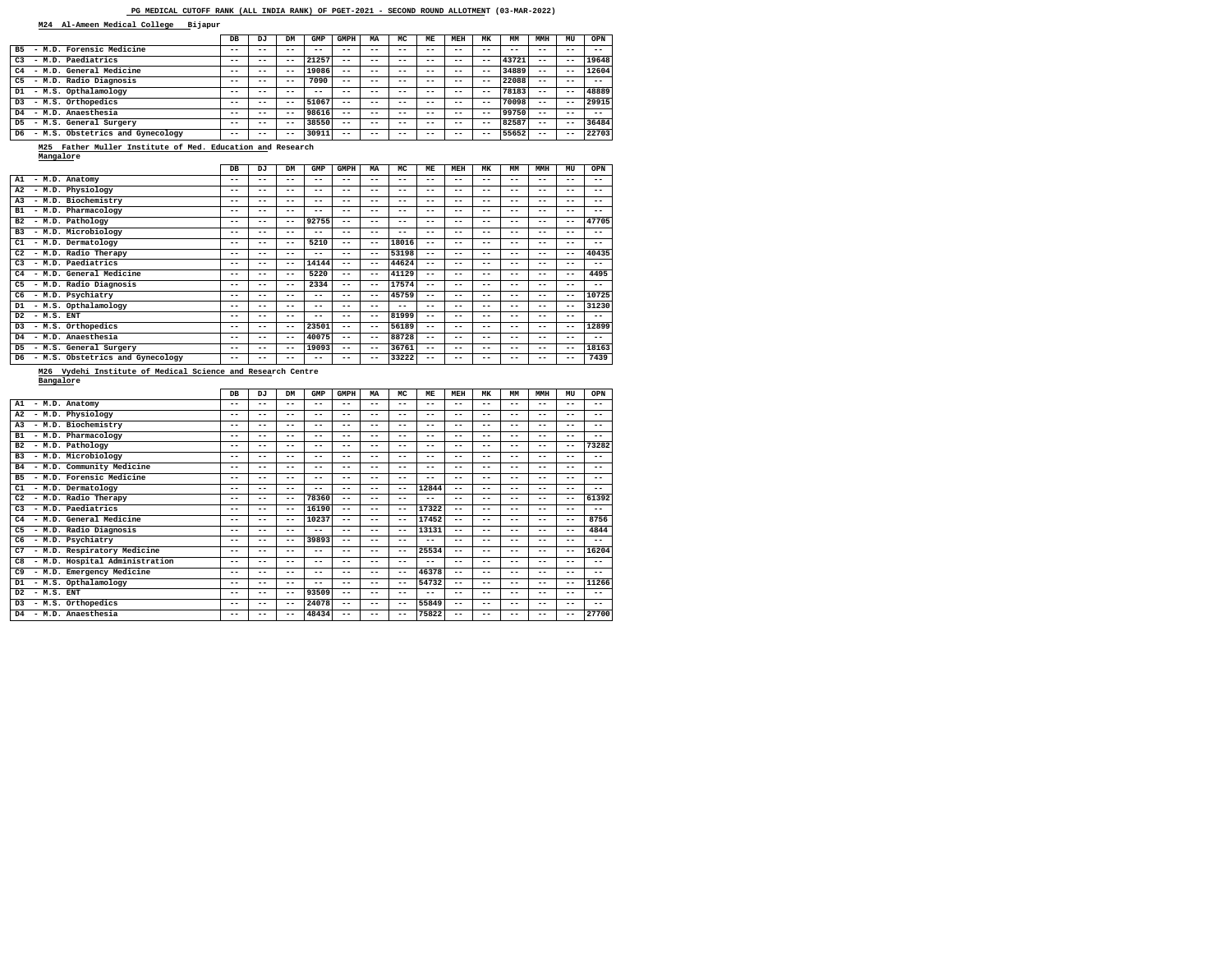#### **M24 Al-Ameen Medical College Bijapur**

**M25 Father Muller Institute of Med. Education and Research Mangalore**

**M26 Vydehi Institute of Medical Science and Research Centre Bangalore**

|                                          | DB    | DJ    | DM    | GMP   | GMPH  | MA    | MC    | ME    | MEH   | МK    | МM    | MMH   | MU    | <b>OPN</b> |
|------------------------------------------|-------|-------|-------|-------|-------|-------|-------|-------|-------|-------|-------|-------|-------|------------|
| - M.D. Forensic Medicine<br><b>B5</b>    | $- -$ | - -   | --    | $- -$ | $- -$ | --    | $- -$ | $- -$ | --    | $ -$  | $- -$ | $- -$ | --    | $- -$      |
| - M.D. Paediatrics<br>C <sub>3</sub>     | $- -$ | - -   | $- -$ | 21257 | $- -$ | --    | $- -$ | --    | $- -$ | $- -$ | 43721 | $- -$ | --    | 19648      |
| - M.D. General Medicine<br>C4            | $- -$ | - -   | $- -$ | 19086 | $ -$  | --    | $- -$ | $- -$ | --    | $- -$ | 34889 | $- -$ | --    | 12604      |
| - M.D. Radio Diagnosis<br>C <sub>5</sub> | $- -$ | --    | $- -$ | 7090  | $- -$ | $- -$ | --    | $- -$ | $- -$ | $- -$ | 22088 | $- -$ | --    | $- -$      |
| - M.S. Opthalamology<br>D1               | $- -$ | - -   | --    | $- -$ | --    |       | $- -$ | $- -$ | $- -$ | $- -$ | 78183 | $- -$ | --    | 48889      |
| - M.S. Orthopedics<br>D <sub>3</sub>     | $- -$ | --    | $- -$ | 51067 | $- -$ | $- -$ | $- -$ | $- -$ | $- -$ | $- -$ | 70098 | $- -$ | $- -$ | 29915      |
| - M.D. Anaesthesia<br>D4.                | $- -$ | $- -$ | $- -$ | 98616 | $- -$ | $- -$ | $- -$ | $- -$ | $- -$ | $- -$ | 99750 | $- -$ | $- -$ | $- -$      |
| - M.S. General Surgery<br>D5.            | $- -$ | --    | $- -$ | 38550 | $- -$ | $- -$ | $- -$ | $- -$ | $- -$ | $- -$ | 82587 | $- -$ | $ -$  | 36484      |
| - M.S. Obstetrics and Gynecology<br>D6   | $- -$ | - -   | $- -$ | 30911 | $- -$ | --    | $- -$ | $- -$ | --    | $- -$ | 55652 | $- -$ | $- -$ | 22703      |
| ___                                      |       |       |       |       |       |       |       |       |       |       |       |       |       |            |

|                                           | DB    | DJ    | DM    | GMP   | <b>GMPH</b> | MA    | MC    | ME    | <b>MEH</b> | MK    | MM    | <b>MMH</b> | MU    | <b>OPN</b> |
|-------------------------------------------|-------|-------|-------|-------|-------------|-------|-------|-------|------------|-------|-------|------------|-------|------------|
| - M.D. Anatomy<br>A1                      | --    | --    | $- -$ | $- -$ | $ -$        | $- -$ | --    | --    | $- -$      | $- -$ | $- -$ | $- -$      | $- -$ | $- -$      |
| - M.D. Physiology<br>A2                   | $- -$ | --    | --    | $- -$ | $- -$       | $- -$ | $- -$ | $- -$ | $- -$      | $- -$ | $- -$ | $- -$      | $- -$ | $- -$      |
| - M.D. Biochemistry<br>A <sub>3</sub>     | $- -$ | $- -$ | $- -$ | $- -$ | $- -$       | $- -$ | $- -$ | --    | $- -$      | --    | $- -$ | $- -$      | $- -$ | $- -$      |
| - M.D. Pharmacology<br>в1                 | $- -$ | --    | --    | $- -$ | $ -$        | $- -$ | --    | --    | $- -$      | --    | $- -$ | $- -$      | $- -$ | $- -$      |
| - M.D. Pathology<br>B2                    | --    | $- -$ | $- -$ | 92755 | $- -$       | $- -$ | --    | $- -$ | --         | $- -$ | $- -$ | $- -$      | $- -$ | 47705      |
| - M.D. Microbiology<br>B <sub>3</sub>     | $- -$ | --    | $- -$ | $- -$ | $- -$       | $- -$ | $- -$ | $- -$ | $- -$      | $- -$ | $- -$ | $- -$      | $ -$  | $- -$      |
| - M.D. Dermatology<br>C1                  | $- -$ | $- -$ | $- -$ | 5210  | $- -$       | $- -$ | 18016 | --    | --         | --    | $- -$ | $- -$      | $- -$ | $- -$      |
| - M.D. Radio Therapy<br>C2                | --    | --    | $- -$ | $- -$ | $- -$       | $- -$ | 53198 | --    | --         | --    | $- -$ | $- -$      | $- -$ | 40435      |
| - M.D. Paediatrics<br>C <sub>3</sub>      | --    | --    | $- -$ | 14144 | $- -$       | $- -$ | 44624 | --    | $- -$      | --    | $- -$ | $- -$      | $- -$ | $- -$      |
| - M.D. General Medicine<br>C <sub>4</sub> | --    | --    | $- -$ | 5220  | $- -$       | $- -$ | 41129 | $- -$ | $- -$      | --    | --    | $- -$      | $ -$  | 4495       |
| - M.D. Radio Diagnosis<br>C <sub>5</sub>  | $- -$ | --    | $- -$ | 2334  | $- -$       | $- -$ | 17574 | $- -$ | --         | --    | --    | $- -$      | $- -$ | $- -$      |
| - M.D. Psychiatry<br>C6                   | --    | --    | $- -$ | $- -$ | $- -$       | $- -$ | 45759 | --    | --         | --    | --    | $- -$      | $- -$ | 10725      |
| - M.S. Opthalamology<br>D1                | --    | --    | --    | $- -$ | $ -$        | $- -$ | $- -$ | $- -$ | --         | --    | --    | $- -$      | $- -$ | 31230      |
| $-$ M.S. $ENT$<br>D <sub>2</sub>          | --    | --    | $- -$ | $- -$ | $- -$       | $- -$ | 81999 | $- -$ | --         | --    | $- -$ | $- -$      | $- -$ | $- -$      |
| - M.S. Orthopedics<br>D <sub>3</sub>      | $- -$ | --    | $- -$ | 23501 | $- -$       | $- -$ | 56189 | $- -$ | --         | --    | $- -$ | $- -$      | $- -$ | 12899      |
| - M.D. Anaesthesia<br>D4                  | --    | --    | $- -$ | 40075 | $- -$       | $- -$ | 88728 | --    | --         | --    | --    | $- -$      | $- -$ | $- -$      |
| - M.S. General Surgery<br>D5              | --    | --    | $- -$ | 19093 | $ -$        | $- -$ | 36761 | --    | --         | --    | --    | $- -$      | $- -$ | 18163      |
| - M.S. Obstetrics and Gynecology<br>D6    | --    | --    |       | $- -$ | --          | --    | 33222 | --    | --         | --    | --    | $- -$      | $- -$ | 7439       |

|                                             | DB    | DJ    | DM    | GMP   | <b>GMPH</b> | MA    | MC.   | ME    | <b>MEH</b> | MK    | MM    | <b>MMH</b> | MU    | <b>OPN</b> |
|---------------------------------------------|-------|-------|-------|-------|-------------|-------|-------|-------|------------|-------|-------|------------|-------|------------|
| - M.D. Anatomy<br>A1                        | $- -$ | $- -$ | $- -$ | $- -$ | $- -$       | $- -$ | $ -$  | $- -$ | --         | $- -$ | $- -$ | $- -$      | $- -$ | $- -$      |
| - M.D. Physiology<br>A2                     | $- -$ | $- -$ | --    | $- -$ | $- -$       | $- -$ | $ -$  | $- -$ | --         | --    | $- -$ | $- -$      | $- -$ | $- -$      |
| - M.D. Biochemistry<br>A <sub>3</sub>       | $- -$ | $- -$ | --    | $- -$ | $- -$       | $- -$ | $- -$ | $- -$ | $- -$      | --    | $- -$ | $- -$      | $- -$ | $- -$      |
| - M.D. Pharmacology<br>в1                   | $- -$ | $- -$ | --    | $- -$ | $- -$       | $- -$ | $ -$  | $- -$ | $- -$      | --    | $- -$ | $- -$      | $ -$  | $- -$      |
| - M.D. Pathology<br>B <sub>2</sub>          | $- -$ | $- -$ | --    | $- -$ | $- -$       | $- -$ | $ -$  | $- -$ | $- -$      | $- -$ | $- -$ | $- -$      | $- -$ | 73282      |
| - M.D. Microbiology<br>B <sub>3</sub>       | $- -$ | $- -$ | $- -$ | $- -$ | $- -$       | $- -$ | $ -$  | $- -$ | $- -$      | --    | $- -$ | $- -$      | $- -$ | $- -$      |
| - M.D. Community Medicine<br><b>B4</b>      | $- -$ | $- -$ | --    | $- -$ | $- -$       | $- -$ | $- -$ | $- -$ | --         | --    | $- -$ | $- -$      | $- -$ | $- -$      |
| - M.D. Forensic Medicine<br>B5              | $- -$ | $- -$ | --    | $- -$ | $- -$       | $- -$ | $ -$  | $- -$ | $- -$      | --    | $- -$ | $- -$      | $ -$  | $- -$      |
| - M.D. Dermatology<br>C1                    | $- -$ | $- -$ | $- -$ | $- -$ | $- -$       | $- -$ | $ -$  | 12844 | $- -$      | --    | $- -$ | $- -$      | $ -$  | $- -$      |
| - M.D. Radio Therapy<br>C <sub>2</sub>      | $- -$ | $- -$ | $- -$ | 78360 | $- -$       | $- -$ | $ -$  | $- -$ | --         | --    | $- -$ | $- -$      | $- -$ | 61392      |
| - M.D. Paediatrics<br>C <sub>3</sub>        | $- -$ | $- -$ | --    | 16190 | $- -$       | $- -$ | $ -$  | 17322 | $- -$      | --    | $- -$ | $- -$      | $- -$ | $- -$      |
| - M.D. General Medicine<br>C <sub>4</sub>   | $- -$ | $- -$ | --    | 10237 | $- -$       | $- -$ | $ -$  | 17452 | $- -$      | --    | $- -$ | $- -$      | $ -$  | 8756       |
| - M.D. Radio Diagnosis<br>C <sub>5</sub>    | $- -$ | $- -$ | $- -$ | $- -$ | $- -$       | $- -$ | $- -$ | 13131 | $- -$      | $- -$ | $- -$ | $- -$      | $- -$ | 4844       |
| - M.D. Psychiatry<br>C <sub>6</sub>         | $- -$ | $- -$ | $- -$ | 39893 | $- -$       | $- -$ | $ -$  | $- -$ | $- -$      | $- -$ | $- -$ | $- -$      | $- -$ | $ -$       |
| - M.D. Respiratory Medicine<br>C7           | $- -$ | $- -$ | --    | $- -$ | $- -$       | $- -$ | $- -$ | 25534 | $- -$      | --    | $- -$ | $- -$      | $- -$ | 16204      |
| - M.D. Hospital Administration<br>C8        | $- -$ | $- -$ | --    | $- -$ | $- -$       | $- -$ | $ -$  | $- -$ | $- -$      | $- -$ | $- -$ | $- -$      | $ -$  | $- -$      |
| - M.D. Emergency Medicine<br>C <sub>9</sub> | $- -$ | $- -$ | $- -$ | $- -$ | $- -$       | $- -$ | $- -$ | 46378 | $- -$      | $- -$ | $- -$ | $- -$      | $ -$  | $- -$      |
| - M.S. Opthalamology<br>D1                  | $- -$ | $- -$ | $- -$ | $- -$ | $- -$       | $- -$ | $- -$ | 54732 | $- -$      | --    | --    | $- -$      | $- -$ | 11266      |
| $- M.S.$ ENT<br>D <sub>2</sub>              | $- -$ | $- -$ | $- -$ | 93509 | $- -$       | $- -$ | $- -$ | $- -$ | $- -$      | --    | $- -$ | $- -$      | $- -$ | $- -$      |
| - M.S. Orthopedics<br>D3                    | $- -$ | $- -$ | $- -$ | 24078 | $- -$       | $- -$ | $- -$ | 55849 | $- -$      | --    | $- -$ | $- -$      | $- -$ | $- -$      |
| - M.D. Anaesthesia<br>D4                    | $- -$ | $- -$ | $- -$ | 48434 | $- -$       | $- -$ | $ -$  | 75822 | $- -$      | --    | $- -$ | $- -$      | $- -$ | 27700      |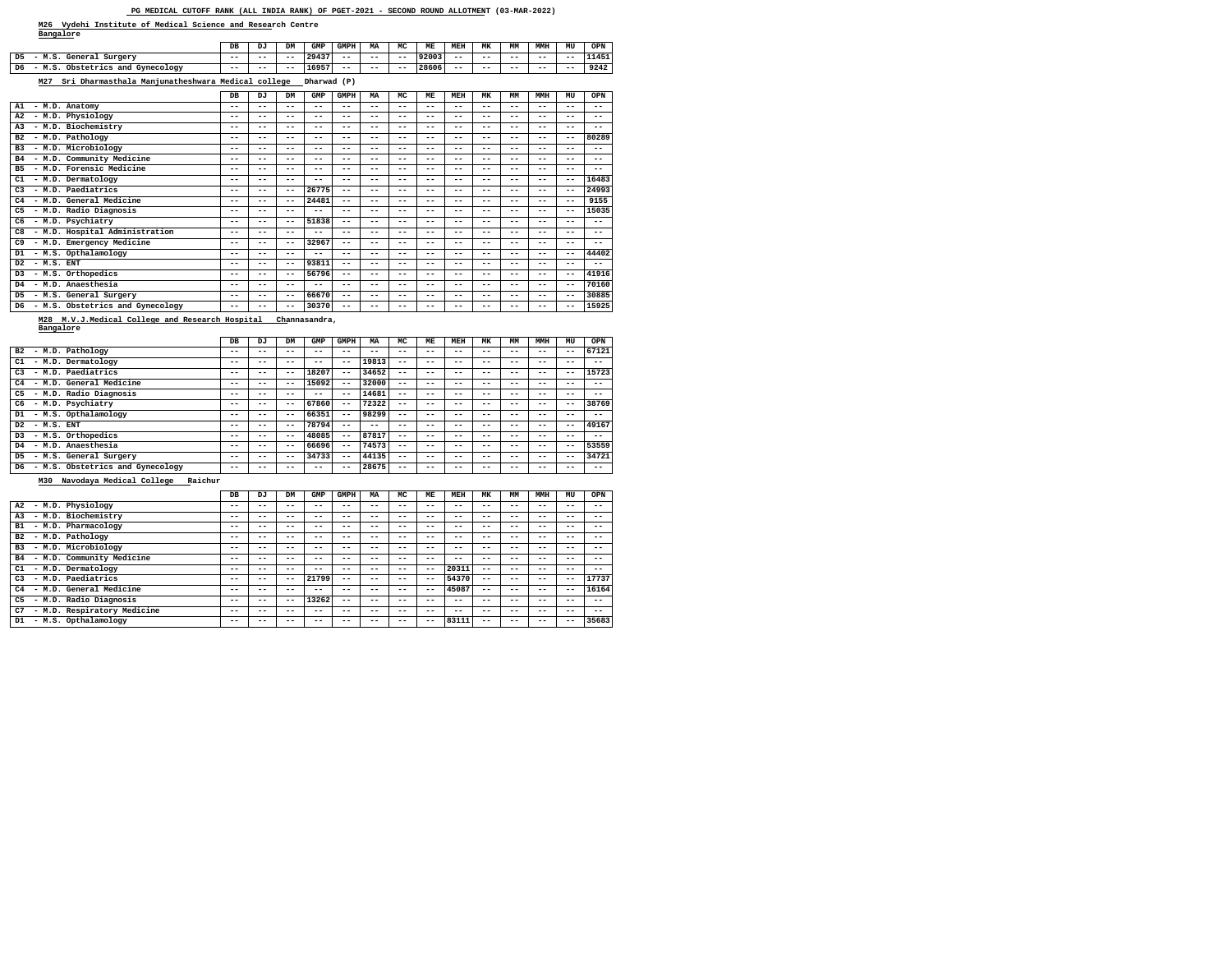**M26 Vydehi Institute of Medical Science and Research Centre Bangalore**

**M28 M.V.J.Medical College and Research Hospital Channasandra,**

**Bangalore**

**M30 Navodaya Medical College Raichur**

|                                                          | DB    | DJ    | DM    | GMP         | GMPH  | МA    | MC    | MЕ    | MEH   | МK    | MМ    | MMH   | MU    | <b>OPN</b> |
|----------------------------------------------------------|-------|-------|-------|-------------|-------|-------|-------|-------|-------|-------|-------|-------|-------|------------|
| - M.S. General Surgery<br>D5                             | $- -$ | $- -$ | $- -$ | 29437       | $- -$ | $- -$ | $- -$ | 92003 | $- -$ | $- -$ | $- -$ | $- -$ | $- -$ | 11451      |
| - M.S. Obstetrics and Gynecology<br>D6                   | $- -$ | $- -$ | $- -$ | 16957       | $- -$ | $- -$ | $- -$ | 28606 | $- -$ | $- -$ | $- -$ | $- -$ | $- -$ | 9242       |
| Sri Dharmasthala Manjunatheshwara Medical college<br>M27 |       |       |       | Dharwad (P) |       |       |       |       |       |       |       |       |       |            |

|                                           | DB    | DJ    | DM    | GMP   | <b>GMPH</b> | MA    | MC    | ME    | <b>MEH</b> | MK    | MM    | <b>MMH</b> | MU    | <b>OPN</b> |
|-------------------------------------------|-------|-------|-------|-------|-------------|-------|-------|-------|------------|-------|-------|------------|-------|------------|
| - M.D. Anatomy<br>A1                      | $- -$ | $- -$ | --    | --    | $- -$       | $- -$ | $- -$ | $- -$ | --         | $- -$ | $- -$ | $ -$       | $- -$ | $- -$      |
| - M.D. Physiology<br>A <sub>2</sub>       | $ -$  | $- -$ | --    | $- -$ | --          | $- -$ | $ -$  | $- -$ | --         | --    | $- -$ | $ -$       | --    | $- -$      |
| - M.D. Biochemistry<br>A <sub>3</sub>     | $- -$ | --    | $- -$ | --    | --          | $- -$ | $- -$ | $- -$ | --         | --    | $- -$ | $ -$       | $- -$ | $- -$      |
| - M.D. Pathology<br>B <sub>2</sub>        | $ -$  | --    | --    | $- -$ | $- -$       | $ -$  | $ -$  | --    | --         | --    | $- -$ | $ -$       | $- -$ | 80289      |
| - M.D. Microbiology<br>B <sub>3</sub>     | $ -$  | --    | --    | $- -$ | --          | $- -$ | $ -$  | --    | --         | --    | $- -$ | $ -$       | --    | $- -$      |
| - M.D. Community Medicine<br>B4           | $ -$  | $- -$ | --    | $- -$ | --          | $- -$ | $ -$  | $- -$ | --         | $- -$ | $- -$ | $ -$       | $- -$ | $- -$      |
| - M.D. Forensic Medicine<br><b>B5</b>     | $ -$  | $- -$ | --    | --    | --          | $- -$ | $- -$ | $- -$ | --         | $- -$ | $- -$ | $ -$       | $- -$ | $- -$      |
| - M.D. Dermatology<br>C1                  | $ -$  | $- -$ | --    | $- -$ | $- -$       | $- -$ | $ -$  | $- -$ | --         | $- -$ | $- -$ | $ -$       | $- -$ | 16483      |
| - M.D. Paediatrics<br>C <sub>3</sub>      | $ -$  | $- -$ | $- -$ | 26775 | $- -$       | $- -$ | $ -$  | $- -$ | --         | $- -$ | $- -$ | $ -$       | $- -$ | 24993      |
| - M.D. General Medicine<br>C <sub>4</sub> | $ -$  | $- -$ | --    | 24481 | $- -$       | $- -$ | $ -$  | $- -$ | --         | $- -$ | $- -$ | $ -$       | $- -$ | 9155       |
| - M.D. Radio Diagnosis<br>C <sub>5</sub>  | $- -$ | $- -$ | $- -$ | $- -$ | $- -$       | $- -$ | $- -$ | $- -$ | --         | $- -$ | $- -$ | $- -$      | $- -$ | 15035      |
| - M.D. Psychiatry<br>C6                   | $- -$ | --    | $ -$  | 51838 | $- -$       | $- -$ | $ -$  | --    | --         | --    | $- -$ | $ -$       | --    | $- -$      |
| - M.D. Hospital Administration<br>C8      | $ -$  | --    | --    | $- -$ | $- -$       | $- -$ | --    | --    | --         | --    | --    | $ -$       | --    | $- -$      |
| - M.D. Emergency Medicine<br>C9           | $- -$ | $- -$ | $- -$ | 32967 | $- -$       | $- -$ | $ -$  | $- -$ | --         | --    | $- -$ | $ -$       | $- -$ | $- -$      |
| - M.S. Opthalamology<br>D1                | $- -$ | $- -$ | --    | $- -$ | --          | $- -$ | $- -$ | $- -$ | --         | $- -$ | $- -$ | $- -$      | $- -$ | 44402      |
| $-$ M.S. ENT<br>D <sub>2</sub>            | $ -$  | $- -$ | $- -$ | 93811 | $- -$       | $- -$ | $- -$ | $- -$ | --         | $- -$ | $- -$ | $ -$       | $- -$ | $- -$      |
| - M.S. Orthopedics<br>D <sub>3</sub>      | $- -$ | --    | $- -$ | 56796 | $- -$       | $ -$  | --    | $- -$ | --         | --    | $- -$ | $ -$       | $- -$ | 41916      |
| - M.D. Anaesthesia<br>D4                  | $- -$ | $- -$ | $- -$ | $- -$ | $- -$       | $- -$ | $- -$ | $- -$ | --         | $- -$ | $- -$ | $ -$       | $- -$ | 70160      |
| - M.S. General Surgery<br>D5              | $- -$ | $- -$ | $- -$ | 66670 | $- -$       | $- -$ | $- -$ | $- -$ | --         | --    | --    | $- -$      | $- -$ | 30885      |
| - M.S. Obstetrics and Gynecology<br>D6    | $ -$  | --    | $- -$ | 30370 | $- -$       | $- -$ | $- -$ | --    | --         | --    | $- -$ | $- -$      | $- -$ | 15925      |

|                                           | DB    | DJ    | <b>DM</b> | GMP   | <b>GMPH</b> | MA    | MC    | ME    | MEH   | <b>MK</b> | MМ    | MMH   | MU    | <b>OPN</b> |
|-------------------------------------------|-------|-------|-----------|-------|-------------|-------|-------|-------|-------|-----------|-------|-------|-------|------------|
| - M.D. Pathology<br>B2                    | $- -$ | $- -$ | $- -$     | $- -$ | --          | --    | $- -$ | $- -$ | $- -$ | --        | --    | $- -$ | $- -$ | 67121      |
| C1<br>- M.D. Dermatology                  | $- -$ | $- -$ | $- -$     | $- -$ | $- -$       | 19813 | $- -$ | $- -$ | $- -$ | --        | $- -$ | $- -$ | --    | $- -$      |
| - M.D. Paediatrics<br>C <sub>3</sub>      | $- -$ | $ -$  | $- -$     | 18207 | $- -$       | 34652 | $ -$  | --    | $- -$ | --        | $- -$ | $- -$ | --    | 15723      |
| - M.D. General Medicine<br>C <sub>4</sub> | $- -$ | $- -$ | $- -$     | 15092 | $- -$       | 32000 | $- -$ | $- -$ | $- -$ | --        | --    | $- -$ | --    | $- -$      |
| - M.D. Radio Diagnosis<br>C <sub>5</sub>  | $- -$ | $- -$ | $- -$     | $- -$ | $- -$       | 14681 | $- -$ | $- -$ | $- -$ | --        | $- -$ | $- -$ | --    | $- -$      |
| C6<br>- M.D. Psychiatry                   | $- -$ | $- -$ | $- -$     | 67860 | $- -$       | 72322 | $- -$ | --    | $- -$ | --        | --    | $- -$ | $- -$ | 38769      |
| - M.S. Opthalamology<br>D1                | $- -$ | $- -$ | $- -$     | 66351 | $- -$       | 98299 | $- -$ | $- -$ | $ -$  | --        | --    | $- -$ | --    | $- -$      |
| D <sub>2</sub><br>$-$ M.S. $ENT$          | $- -$ | $ -$  | $- -$     | 78794 | $- -$       | --    | $- -$ | $- -$ | $- -$ | --        | --    | $- -$ | $- -$ | 49167      |
| - M.S. Orthopedics<br>D3                  | $- -$ | $ -$  | $- -$     | 48085 | $- -$       | 87817 | $- -$ | --    | --    | - -       | --    | --    | - -   | $ -$       |
| - M.D. Anaesthesia<br>D4                  | $- -$ | $ -$  | $- -$     | 66696 | $- -$       | 74573 | $- -$ | --    | $- -$ | --        | $- -$ | $- -$ | $- -$ | 53559      |
| D5<br>- M.S. General Surgery              | $- -$ | $- -$ | $- -$     | 34733 | $- -$       | 44135 | $- -$ | $- -$ | $- -$ | --        | --    | $- -$ | --    | 34721      |
| - M.S. Obstetrics and Gynecology<br>D6    | $- -$ | $- -$ | $- -$     | $- -$ | --          | 28675 | $ -$  | $- -$ | $- -$ | - -       | --    | --    | --    | $- -$      |

|                                           | DB    | DJ    | <b>DM</b> | GMP   | <b>GMPH</b> | MA | MC    | ME    | MEH   | МK    | MМ    | MMH   | MU    | <b>OPN</b> |
|-------------------------------------------|-------|-------|-----------|-------|-------------|----|-------|-------|-------|-------|-------|-------|-------|------------|
| - M.D. Physiology<br>A2                   | $- -$ | $- -$ | $- -$     | $- -$ | --          | -- | $- -$ | $- -$ | $- -$ | --    | --    | $- -$ | --    | $- -$      |
| - M.D. Biochemistry<br>A <sub>3</sub>     | $ -$  | $- -$ | $- -$     | $- -$ | $ -$        | -- | $ -$  | --    | $- -$ | --    | --    | $- -$ | $- -$ | $- -$      |
| - M.D. Pharmacology<br>B1                 | $ -$  | $- -$ | $- -$     | $- -$ | --          | -- | $- -$ | $- -$ | $- -$ | --    | $- -$ | $- -$ | $- -$ | $- -$      |
| B <sub>2</sub><br>- M.D. Pathology        | $- -$ | $- -$ | $- -$     | --    | --          | -- | $ -$  | --    | $- -$ | --    | $- -$ | $- -$ | --    | $- -$      |
| - M.D. Microbiology<br>B <sub>3</sub>     | $- -$ | $- -$ | $- -$     | $- -$ | --          | -- | $- -$ | $- -$ | $- -$ | --    | --    | $- -$ | --    | $- -$      |
| - M.D. Community Medicine<br>в4           | $- -$ | $- -$ | $- -$     | $- -$ | --          | -- | $ -$  | --    | $- -$ | --    | $- -$ | $- -$ | $- -$ | $- -$      |
| C1<br>- M.D. Dermatology                  | $- -$ | $- -$ | $- -$     | $- -$ | --          | -- | $- -$ | $- -$ | 20311 | $- -$ | --    | $- -$ | --    | $- -$      |
| - M.D. Paediatrics<br>C <sub>3</sub>      | $- -$ | $- -$ | $- -$     | 21799 | $- -$       | -- | $- -$ | $- -$ | 54370 | $- -$ | --    | $- -$ | $- -$ | 17737      |
| - M.D. General Medicine<br>C <sub>4</sub> | $- -$ | $- -$ | $- -$     | $- -$ | --          | -- | $- -$ | $- -$ | 45087 | $- -$ | --    | $- -$ | $- -$ | 16164      |
| - M.D. Radio Diagnosis<br>C <sub>5</sub>  | $- -$ | $- -$ | $- -$     | 13262 | $- -$       | -- | $- -$ | --    | $- -$ | --    | --    | $- -$ | $- -$ | $- -$      |
| - M.D. Respiratory Medicine<br>C7         | $- -$ | $- -$ | $- -$     | $- -$ | --          | -- | $- -$ | $- -$ | $- -$ | --    | $- -$ | $- -$ | --    | $- -$      |
| - M.S. Opthalamology<br>D1                | $- -$ | --    | --        | --    |             | -- | $- -$ | $- -$ | 83111 | $- -$ | --    | $- -$ | $- -$ | 35683      |

**PG MEDICAL CUTOFF RANK (ALL INDIA RANK) OF PGET-2021 - SECOND ROUND ALLOTMENT (03-MAR-2022)**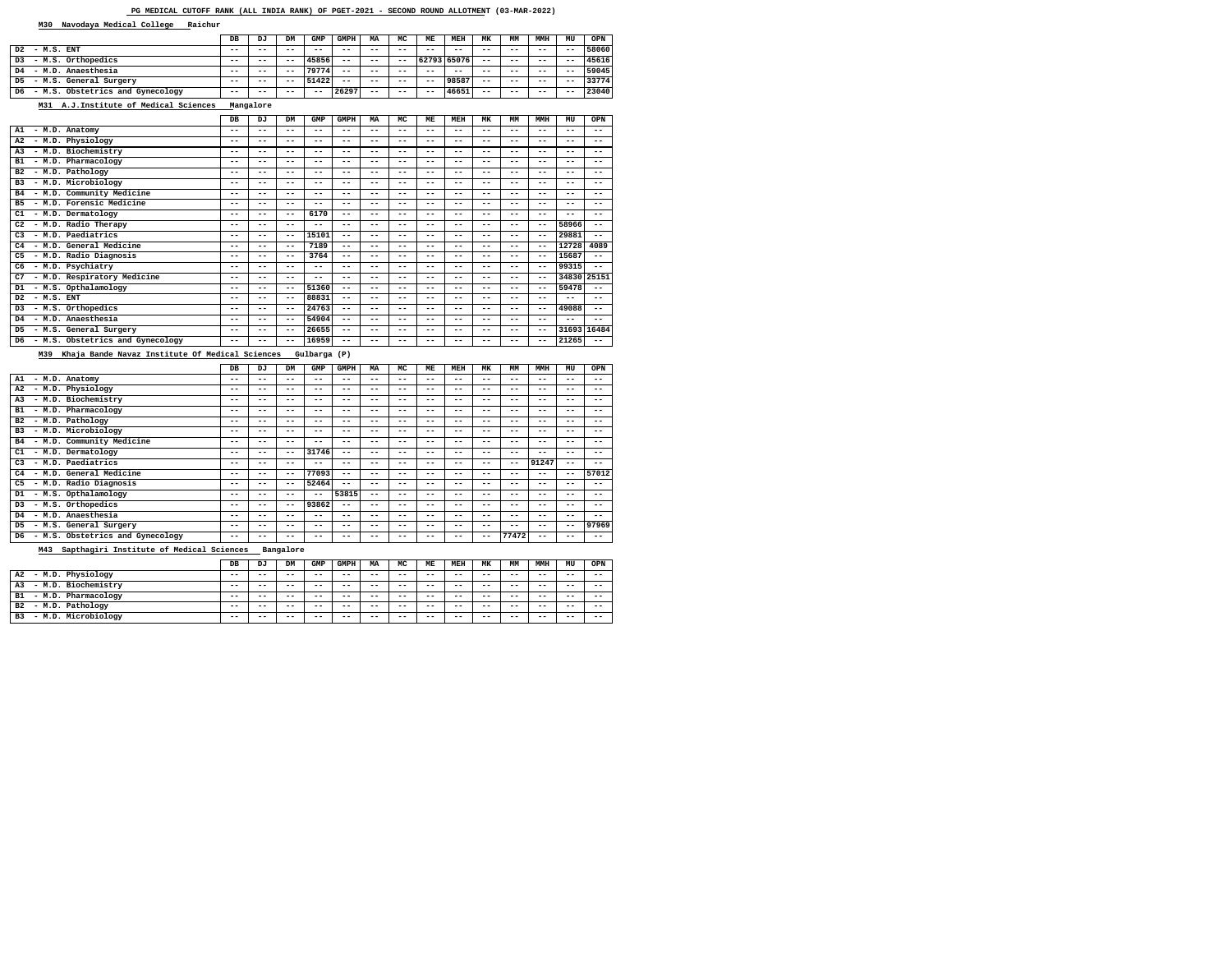**M30 Navodaya Medical College Raichur**

### **M31 A.J.Institute of Medical Sciences Mangalore**

**M39 Khaja Bande Navaz Institute Of Medical Sciences Gulbarga (P)**

### **M43 Sapthagiri Institute of Medical Sciences Bangalore**

| DB    | DJ    | <b>DM</b> | GMP   | <b>GMPH</b> | МA    | MC    | ME    | MEH   | <b>MK</b> | МM          | <b>MMH</b> | MU    | OPN   |
|-------|-------|-----------|-------|-------------|-------|-------|-------|-------|-----------|-------------|------------|-------|-------|
| $- -$ | $- -$ | $- -$     | $- -$ | $- -$       | $- -$ | $- -$ | $- -$ | $- -$ | $- -$     | $- -$       | $- -$      | $- -$ | 58060 |
| $- -$ | $- -$ | $- -$     | 45856 | $- -$       | $- -$ | $- -$ |       |       | $- -$     | $- -$       | $- -$      | $- -$ | 45616 |
| $- -$ | $- -$ | $- -$     | 79774 | $- -$       | $- -$ | $- -$ | $- -$ | $- -$ | $- -$     | $- -$       | $- -$      | $ -$  | 59045 |
| $- -$ | $- -$ | $- -$     | 51422 | $ -$        | $- -$ | $- -$ | $- -$ | 98587 | $ -$      | $- -$       | $- -$      | $ -$  | 33774 |
| $- -$ | $- -$ | $- -$     | $- -$ | 26297       | $- -$ | $- -$ | $- -$ | 46651 | $- -$     | $- -$       | $- -$      | $ -$  | 23040 |
|       |       |           |       |             |       |       |       |       |           | 62793 65076 |            |       |       |

|                                            | DB    | DJ    | DM    | GMP   | <b>GMPH</b> | MA    | MC    | ME    | <b>MEH</b> | MK    | MM    | <b>MMH</b> | MU          | <b>OPN</b> |
|--------------------------------------------|-------|-------|-------|-------|-------------|-------|-------|-------|------------|-------|-------|------------|-------------|------------|
| - M.D. Anatomy<br>A1                       | $ -$  | $ -$  | --    | --    | $- -$       | --    | $- -$ | $- -$ | $ -$       | $- -$ | --    | $- -$      | --          | $- -$      |
| - M.D. Physiology<br>A2                    | $- -$ | $- -$ | $- -$ | --    | --          | --    | $- -$ | $- -$ | $ -$       | $- -$ | --    | $- -$      | $- -$       | $- -$      |
| - M.D. Biochemistry<br>A <sub>3</sub>      | $ -$  | --    | --    | --    | --          | --    | --    | $- -$ | $ -$       | --    | --    | --         | --          | $- -$      |
| - M.D. Pharmacology<br>B1                  | $ -$  | --    | $- -$ | --    | --          | --    | --    | $- -$ | $ -$       | $- -$ | --    | $- -$      | --          | $- -$      |
| - M.D. Pathology<br>B <sub>2</sub>         | $- -$ | $- -$ | --    | --    | --          | --    | $- -$ | $- -$ | $ -$       | $- -$ | --    | $- -$      | $- -$       | $- -$      |
| - M.D. Microbiology<br>B <sub>3</sub>      | $- -$ | --    | --    | --    | --          | --    | --    | $- -$ | $- -$      | --    | --    | $- -$      | --          | $- -$      |
| - M.D. Community Medicine<br>B4            | $ -$  | --    | --    | --    | --          | --    | --    | $- -$ | $ -$       | --    | --    | --         | --          | $- -$      |
| - M.D. Forensic Medicine<br>B <sub>5</sub> | $- -$ | $- -$ | --    | --    | --          | $- -$ | $- -$ | $- -$ | $- -$      | $- -$ | --    | --         | --          | $- -$      |
| - M.D. Dermatology<br>C1                   | $- -$ | $- -$ | $- -$ | 6170  | $- -$       | --    | $- -$ | $- -$ | $ -$       | $- -$ | --    | $- -$      | $- -$       | $- -$      |
| - M.D. Radio Therapy<br>C <sub>2</sub>     | $ -$  | $ -$  | $- -$ | $- -$ | $- -$       | --    | --    | $- -$ | $ -$       | $- -$ | $- -$ | $- -$      | 58966       | $- -$      |
| - M.D. Paediatrics<br>C <sub>3</sub>       | $- -$ | $- -$ | $- -$ | 15101 | $- -$       | --    | --    | $- -$ | $ -$       | $- -$ | --    | $- -$      | 29881       | $- -$      |
| - M.D. General Medicine<br>C <sub>4</sub>  | $- -$ | $- -$ | --    | 7189  | $- -$       | --    | $- -$ | $- -$ | $ -$       | --    | --    | $- -$      | 12728       | 4089       |
| - M.D. Radio Diagnosis<br>C <sub>5</sub>   | $ -$  | $ -$  | $- -$ | 3764  | $- -$       | --    | $- -$ | $- -$ | $ -$       | $- -$ | --    | $- -$      | 15687       | $- -$      |
| - M.D. Psychiatry<br>C <sub>6</sub>        | $ -$  | --    | --    | $- -$ | --          | --    | --    | $- -$ | $ -$       | $- -$ | --    | $- -$      | 99315       | $- -$      |
| - M.D. Respiratory Medicine<br>C7          | $- -$ | $- -$ | $- -$ | $- -$ | $- -$       | --    | $- -$ | $- -$ | $- -$      | $- -$ | --    | $- -$      | 34830       | 25151      |
| - M.S. Opthalamology<br>D1                 | $ -$  | $ -$  | $- -$ | 51360 | $- -$       | --    | --    | $- -$ | $ -$       | $- -$ | --    | $- -$      | 59478       | $- -$      |
| $-$ M.S. ENT<br>D <sub>2</sub>             | $ -$  | $- -$ | $- -$ | 88831 | $- -$       | --    | --    | $- -$ | $ -$       | $- -$ | --    | $- -$      | --          | $- -$      |
| - M.S. Orthopedics<br>D3                   | $- -$ | $- -$ | $- -$ | 24763 | $- -$       | --    | $- -$ | $- -$ | $- -$      | $- -$ | --    | $- -$      | 49088       | $- -$      |
| - M.D. Anaesthesia<br>D4                   | $ -$  | $ -$  | $- -$ | 54904 | --          | --    | --    | $- -$ | $ -$       | $- -$ | --    | $- -$      | --          | $- -$      |
| - M.S. General Surgery<br>D5               | $- -$ | $- -$ | $- -$ | 26655 | $- -$       | --    | --    | $- -$ | $ -$       | $- -$ | --    | $- -$      | 31693 16484 |            |
| - M.S. Obstetrics and Gynecology<br>D6     | $- -$ | --    | --    | 16959 | $- -$       | --    | $- -$ | $- -$ | $- -$      | --    | $- -$ | $- -$      | 21265       | $- -$      |

|                                           | DB    | DJ    | DM    | GMP   | <b>GMPH</b> | MA    | <b>MC</b> | ME    | <b>MEH</b> | MK    | MM    | <b>MMH</b> | MU    | <b>OPN</b> |
|-------------------------------------------|-------|-------|-------|-------|-------------|-------|-----------|-------|------------|-------|-------|------------|-------|------------|
| - M.D. Anatomy<br>A1                      | $ -$  | --    | $- -$ | --    | --          | $- -$ | $- -$     | --    | $- -$      | --    | --    | $- -$      | $- -$ | $- -$      |
| A2<br>- M.D. Physiology                   | $ -$  | --    | $- -$ | $- -$ | --          | $- -$ | $ -$      | $- -$ | --         | --    | --    | $- -$      | $- -$ | $- -$      |
| - M.D. Biochemistry<br>A <sub>3</sub>     | $ -$  | --    | $- -$ | --    | --          | $ -$  | $ -$      | --    | $- -$      | --    | --    | $- -$      | $- -$ | $- -$      |
| - M.D. Pharmacology<br>в1                 | $ -$  | --    | $- -$ | --    | --          | $- -$ | $ -$      | --    | --         | --    | --    | $- -$      | $- -$ | $- -$      |
| - M.D. Pathology<br>B <sub>2</sub>        | $- -$ | $- -$ | $- -$ | --    | $- -$       | --    | $- -$     | --    | $- -$      | $- -$ | --    | $- -$      | $- -$ | $- -$      |
| - M.D. Microbiology<br>B <sub>3</sub>     | $- -$ | --    | $- -$ | --    | --          | $- -$ | $ -$      | --    | $- -$      | --    | --    | $- -$      | $- -$ | $- -$      |
| - M.D. Community Medicine<br>B4           | $- -$ | --    | $- -$ | --    | --          | $ -$  | $ -$      | --    | --         | --    | --    | $- -$      | $- -$ | $- -$      |
| - M.D. Dermatology<br>C1                  | $- -$ | --    | $- -$ | 31746 | $- -$       | $- -$ | $- -$     | --    | --         | --    | $- -$ | $- -$      | $- -$ | $- -$      |
| - M.D. Paediatrics<br>C <sub>3</sub>      | $ -$  | --    | $- -$ | $- -$ | --          | --    | $ -$      | --    | $- -$      | --    | $- -$ | 91247      | $- -$ | $- -$      |
| - M.D. General Medicine<br>C <sub>4</sub> | $- -$ | $- -$ | $- -$ | 77093 | $- -$       | $- -$ | $- -$     | $- -$ | $- -$      | --    | --    | $- -$      | $- -$ | 57012      |
| - M.D. Radio Diagnosis<br>C <sub>5</sub>  | $ -$  | --    | $- -$ | 52464 | $- -$       | $- -$ | $ -$      | $- -$ | --         | --    | --    | $- -$      | $- -$ | $- -$      |
| - M.S. Opthalamology<br>D1                | $ -$  | --    | $- -$ | $- -$ | 53815       | $- -$ | $ -$      | --    | $- -$      | $ -$  | --    | $- -$      | $- -$ | $- -$      |
| - M.S. Orthopedics<br>D <sub>3</sub>      | $ -$  | --    | $- -$ | 93862 | $- -$       | $- -$ | $ -$      | --    | --         | --    | --    | $- -$      | --    | $- -$      |
| - M.D. Anaesthesia<br>D4                  | $- -$ | $- -$ | $- -$ | --    | --          | --    | $- -$     | --    | $- -$      | $- -$ | --    | $- -$      | $- -$ | $- -$      |
| D5<br>- M.S. General Surgery              | $- -$ | --    | $- -$ | --    | --          | $- -$ | $- -$     | --    | $- -$      | --    | --    | $- -$      | $- -$ | 97969      |
| - M.S. Obstetrics and Gynecology<br>D6    | $ -$  | --    | --    | --    | --          | --    | $- -$     | --    | --         | $- -$ | 77472 | --         | --    | $- -$      |

|                                       | DB    | DJ    | DM    | GMP   | GMPH  | MA    | MC    | ME    | MEH   | МK    | MM    | MMH   | MU    | <b>OPN</b> |
|---------------------------------------|-------|-------|-------|-------|-------|-------|-------|-------|-------|-------|-------|-------|-------|------------|
| - M.D. Physiology<br>A2               | $- -$ | $- -$ | $- -$ | $- -$ | $- -$ | $- -$ | $- -$ | $- -$ | $- -$ | $- -$ | $- -$ | $- -$ | $- -$ | $- -$      |
| - M.D. Biochemistry<br>A <sub>3</sub> | $- -$ | $- -$ | $- -$ | $- -$ | $- -$ | $- -$ | $- -$ | $- -$ | $- -$ | $- -$ | $- -$ | $- -$ | $- -$ | $- -$      |
| - M.D. Pharmacology<br>B1             | $- -$ | $- -$ | $- -$ | $- -$ | $- -$ | $- -$ | $- -$ | $- -$ | $- -$ | $- -$ | $- -$ | $- -$ | $- -$ | $- -$      |
| - M.D. Pathology<br>B <sub>2</sub>    | $- -$ | $- -$ | $- -$ | $- -$ | $- -$ | $- -$ | $- -$ | $- -$ | $- -$ | $- -$ | $- -$ | $- -$ | $- -$ | $- -$      |
| - M.D. Microbiology<br>B <sub>3</sub> | $- -$ | $- -$ | $- -$ | $- -$ | $- -$ | $- -$ | $- -$ | $- -$ | $- -$ | $- -$ | $- -$ | $- -$ | $- -$ | $- -$      |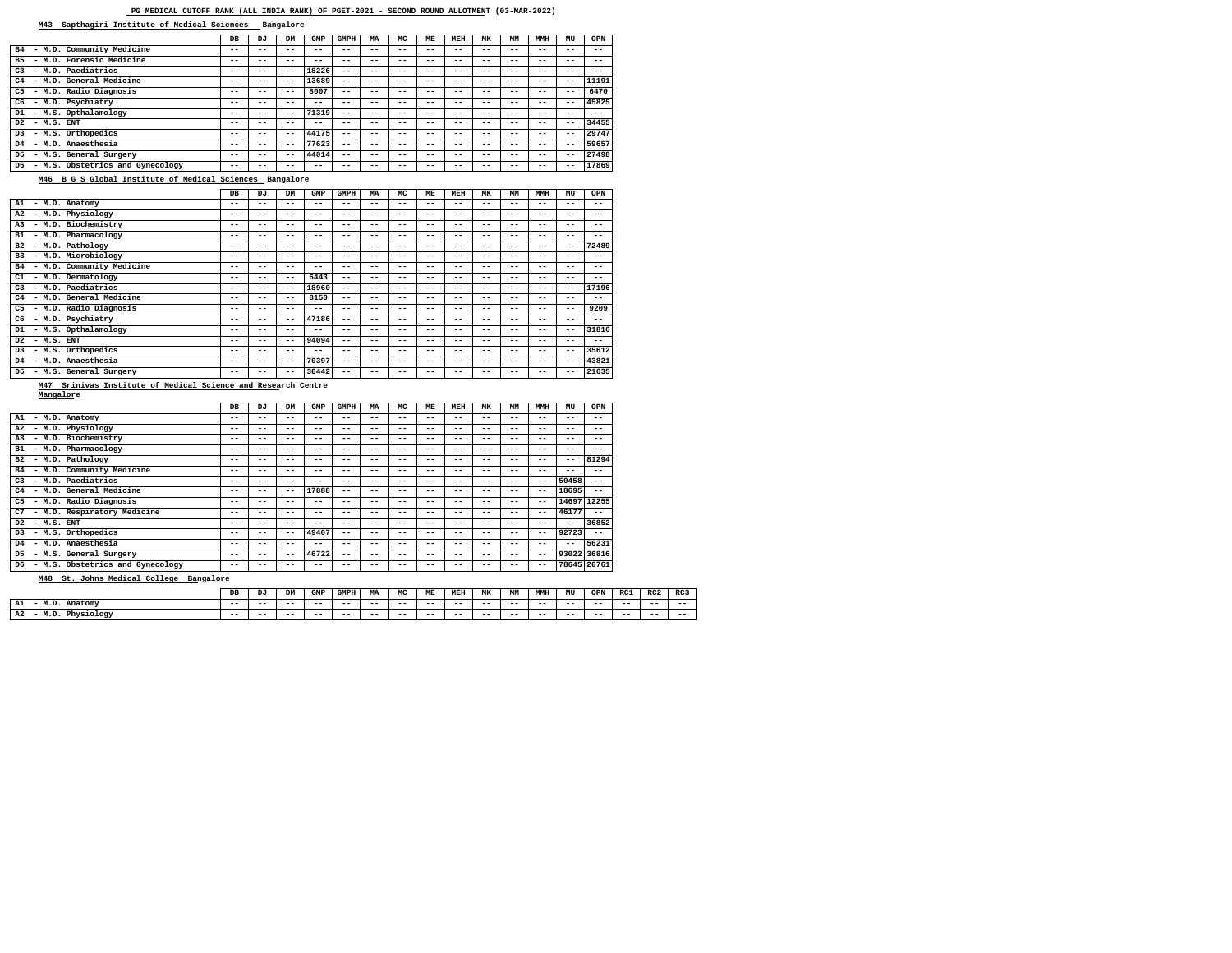### **M43 Sapthagiri Institute of Medical Sciences Bangalore**

### **M46 B G S Global Institute of Medical Sciences Bangalore**

**M47 Srinivas Institute of Medical Science and Research Centre Mangalore**

#### **M48 St. Johns Medical College Bangalore**

|                                           | DB    | DJ  | DM    | GMP   | <b>GMPH</b> | MA    | MC    | ME    | MEH   | МK    | MМ    | MMH   | MU    | <b>OPN</b> |
|-------------------------------------------|-------|-----|-------|-------|-------------|-------|-------|-------|-------|-------|-------|-------|-------|------------|
| - M.D. Community Medicine<br>B4           | $- -$ | - - | $- -$ | $- -$ | --          | --    | $ -$  | $- -$ | $ -$  | $- -$ | --    | $- -$ | --    | $- -$      |
| - M.D. Forensic Medicine<br><b>B5</b>     | $- -$ | --  | --    | $- -$ | $ -$        | $- -$ | $- -$ | $- -$ | $- -$ | $- -$ | $- -$ | $- -$ | --    | $- -$      |
| C <sub>3</sub><br>- M.D. Paediatrics      | $- -$ | --  | $- -$ | 18226 | $- -$       | --    | $- -$ | $- -$ | $- -$ | $- -$ | $- -$ | $- -$ | --    | $- -$      |
| - M.D. General Medicine<br>C <sub>4</sub> | $- -$ | --  | $- -$ | 13689 | $- -$       | --    | $- -$ | $- -$ | --    | --    | $- -$ | --    | $- -$ | 11191      |
| - M.D. Radio Diagnosis<br>C <sub>5</sub>  | $- -$ | --  | $- -$ | 8007  | $- -$       | --    | $- -$ | $- -$ | $- -$ | --    | $- -$ | --    | $- -$ | 6470       |
| - M.D. Psychiatry<br>C6                   | --    | - - | --    | $- -$ | --          | - -   | $ -$  | --    | $ -$  | $- -$ | --    | --    | $- -$ | 45825      |
| - M.S. Opthalamology<br>D1                | $- -$ | --  | $- -$ | 71319 | $- -$       | --    | $- -$ | $- -$ | $- -$ | $- -$ | $- -$ | $- -$ | --    | $- -$      |
| D <sub>2</sub><br>$-$ M.S. $ENT$          | $- -$ | --  | $ -$  | $- -$ | $- -$       | $- -$ | $- -$ | $- -$ | $- -$ | --    | $- -$ | $- -$ | $- -$ | 34455      |
| - M.S. Orthopedics<br>D <sub>3</sub>      | $- -$ | --  | $- -$ | 44175 | $- -$       | --    | $- -$ | $- -$ | $- -$ | --    | --    | --    | $- -$ | 29747      |
| - M.D. Anaesthesia<br>D4                  | $- -$ | --  | $- -$ | 77623 | $- -$       | $- -$ | $- -$ | $- -$ | $- -$ | --    | $- -$ | $- -$ | $- -$ | 59657      |
| - M.S. General Surgery<br>D5              | $- -$ | --  | $- -$ | 44014 | $- -$       | $- -$ | $- -$ | --    | $ -$  | $- -$ | --    | $- -$ | $- -$ | 27498      |
| - M.S. Obstetrics and Gynecology<br>D6    | $- -$ | --  | --    | $ -$  | --          | $- -$ | $- -$ | --    | $ -$  | $- -$ | --    | $- -$ | $- -$ | 17869      |

|                                           | DB    | DJ    | DM    | GMP   | <b>GMPH</b> | MA    | MC    | ME    | MEH   | MK    | MМ    | MMH   | MU    | <b>OPN</b> |
|-------------------------------------------|-------|-------|-------|-------|-------------|-------|-------|-------|-------|-------|-------|-------|-------|------------|
| - M.D. Anatomy<br>A1                      | --    | --    | --    | $- -$ | $ -$        | --    | $- -$ | --    | --    | $- -$ | $- -$ | $- -$ | $- -$ | $- -$      |
| - M.D. Physiology<br>A2                   | --    | --    | --    | $- -$ | $ -$        | --    | $- -$ | --    | --    | $- -$ | $- -$ | $- -$ | --    | --         |
| - M.D. Biochemistry<br>A <sub>3</sub>     | --    | --    | --    | $- -$ | $ -$        | --    | $- -$ | --    | --    | $- -$ | $- -$ | $- -$ | $- -$ | --         |
| - M.D. Pharmacology<br>B1                 | --    | --    | --    | $- -$ | $- -$       | --    | $- -$ | $- -$ | $- -$ | --    | $- -$ | $- -$ | $- -$ | $- -$      |
| - M.D. Pathology<br>B <sub>2</sub>        | --    | --    | --    | $- -$ | $ -$        | --    | --    | --    | --    | --    | $- -$ | $- -$ | $- -$ | 72489      |
| - M.D. Microbiology<br>B <sub>3</sub>     | --    | --    | $- -$ | $- -$ | $ -$        | --    | $- -$ | --    | --    | $- -$ | $- -$ | $- -$ | --    | $- -$      |
| - M.D. Community Medicine<br>в4           | --    | --    | --    | $- -$ | $ -$        | --    | $- -$ | $- -$ | --    | $- -$ | $- -$ | $- -$ | --    | --         |
| - M.D. Dermatology<br>C1                  | --    | $- -$ | $- -$ | 6443  | $- -$       | --    | $- -$ | --    | --    | $- -$ | $- -$ | $- -$ | --    | --         |
| - M.D. Paediatrics<br>C <sub>3</sub>      | --    | --    | $- -$ | 18960 | $- -$       | $- -$ | $- -$ | $- -$ | $- -$ | $- -$ | $- -$ | $- -$ | $- -$ | 17196      |
| - M.D. General Medicine<br>C <sub>4</sub> | $- -$ | --    | $- -$ | 8150  | $- -$       | --    | $- -$ | $- -$ | --    | $- -$ | $- -$ | $- -$ | $- -$ | $- -$      |
| - M.D. Radio Diagnosis<br>C <sub>5</sub>  | --    | --    | $- -$ | $- -$ | $- -$       | $- -$ | $- -$ | $- -$ | $- -$ | $- -$ | $- -$ | $- -$ | $- -$ | 9209       |
| - M.D. Psychiatry<br>C6                   | --    | --    | $- -$ | 47186 | $ -$        | --    | $- -$ | $- -$ | --    | $- -$ | $- -$ | $- -$ | --    | $- -$      |
| - M.S. Opthalamology<br>D1                | $- -$ | --    | --    | $- -$ | $ -$        | --    | $- -$ | --    | --    | $- -$ | $- -$ | $- -$ | $- -$ | 31816      |
| D <sub>2</sub><br>$-$ M.S. $ENT$          | $- -$ | --    | $- -$ | 94094 | $ -$        | --    | $ -$  | --    | --    | --    | $- -$ | $- -$ | --    | $- -$      |
| - M.S. Orthopedics<br>D <sub>3</sub>      | --    | --    | $- -$ | $- -$ | $ -$        | $- -$ | $ -$  | --    | --    | --    | $- -$ | $- -$ | $- -$ | 35612      |
| - M.D. Anaesthesia<br>D4                  | $- -$ | --    | $- -$ | 70397 | $ -$        | --    | $- -$ | --    | --    | --    | $- -$ | $- -$ | $- -$ | 43821      |
| - M.S. General Surgery<br>D5              | --    | --    | $- -$ | 30442 | $ -$        | $- -$ | $- -$ | --    | --    | --    | $- -$ | $- -$ | --    | 21635      |

|                                           | DB    | DJ    | DM    | GMP   | <b>GMPH</b> | MA    | MC    | ME | <b>MEH</b> | MK    | MM    | <b>MMH</b> | MU    | <b>OPN</b>  |
|-------------------------------------------|-------|-------|-------|-------|-------------|-------|-------|----|------------|-------|-------|------------|-------|-------------|
| A1<br>- M.D. Anatomy                      | $ -$  | --    | $ -$  | --    | $- -$       | --    | $- -$ | -- | $- -$      | --    | $ -$  | --         | --    | --          |
| - M.D. Physiology<br>A <sub>2</sub>       | $- -$ | $- -$ | $- -$ | --    | $- -$       | --    | $- -$ | -- | $ -$       | --    | $ -$  | --         | $- -$ | --          |
| - M.D. Biochemistry<br>A <sub>3</sub>     | $- -$ | $- -$ | $ -$  | $- -$ | $- -$       | --    | $- -$ | -- | $ -$       | $- -$ | $ -$  | --         | $- -$ | --          |
| - M.D. Pharmacology<br>B1                 | $- -$ | --    | $ -$  | --    | $- -$       | --    | $- -$ | -- | $- -$      | --    | $ -$  | --         | --    | --          |
| - M.D. Pathology<br>B <sub>2</sub>        | $- -$ | $- -$ | $- -$ | --    | $- -$       | --    | $- -$ | -- | $ -$       | --    | $ -$  | $- -$      | $- -$ | 81294       |
| - M.D. Community Medicine<br>B4           | $- -$ | $- -$ | $ -$  | --    | $- -$       | --    | $- -$ | -- | $ -$       | --    | $ -$  | --         | $- -$ | --          |
| - M.D. Paediatrics<br>C <sub>3</sub>      | $- -$ | --    | $ -$  | $- -$ | $- -$       | --    | $- -$ | -- | $- -$      | --    | $- -$ | $- -$      | 50458 | $- -$       |
| - M.D. General Medicine<br>C <sub>4</sub> | $- -$ | $- -$ | $- -$ | 17888 | $- -$       | --    | $- -$ | -- | $- -$      | --    | $- -$ | $- -$      | 18695 | $- -$       |
| - M.D. Radio Diagnosis<br>C <sub>5</sub>  | $- -$ | $- -$ | $- -$ | $- -$ | $- -$       | --    | $- -$ | -- | $- -$      | $- -$ | $- -$ | $- -$      | 14697 | 12255       |
| - M.D. Respiratory Medicine<br>C7         | $- -$ | --    | $- -$ | --    | $- -$       | --    | $- -$ | -- | $ -$       | --    | $- -$ | $- -$      | 46177 | $- -$       |
| D <sub>2</sub><br>$- M.S. ENT$            | $- -$ | --    | $- -$ | --    | $- -$       | --    | $- -$ | -- | $- -$      | --    | $- -$ | $- -$      | $- -$ | 36852       |
| - M.S. Orthopedics<br>D <sub>3</sub>      | $- -$ | $- -$ | $- -$ | 49407 | $- -$       | $- -$ | $- -$ | -- | $- -$      | $- -$ | $- -$ | $- -$      | 92723 | $- -$       |
| - M.D. Anaesthesia<br>D4                  | $- -$ | --    | $- -$ | $- -$ | $- -$       | --    | $- -$ | -- | $ -$       | --    | $ -$  | $- -$      | $- -$ | 56231       |
| - M.S. General Surgery<br>D5              | $- -$ | $- -$ | $- -$ | 46722 | $- -$       | --    | $- -$ | -- | $- -$      | $- -$ | $- -$ | $- -$      | 93022 | 36816       |
| D6<br>- M.S. Obstetrics and Gynecology    | $- -$ | $ -$  | $- -$ | --    | --          | --    | $- -$ | -- | $- -$      | $- -$ | $- -$ | $- -$      |       | 78645 20761 |

|                                            | DB<br>the company of the company of the | DJ.<br>טע. | DM    | GMP   | GMPH | MA    | $\overline{M}$ | МE    | MEH   | MK  | MМ    | MMH   | MU    | <b>OPN</b> | RC1 | RC2   | RC3   |
|--------------------------------------------|-----------------------------------------|------------|-------|-------|------|-------|----------------|-------|-------|-----|-------|-------|-------|------------|-----|-------|-------|
| Anatomy<br>--                              | ---                                     | $- -$      | ---   | $- -$ | __   | $- -$ | $- -$          | $- -$ | $- -$ | --- | $ -$  | $- -$ | $- -$ | $- -$      | --- | $- -$ | ---   |
| <b>M</b><br>Phvein<br>Toan<br>الملام<br>AZ | $- -$                                   | $- -$      | $- -$ | $- -$ | __   | $- -$ | $- -$          | $- -$ | $- -$ | --- | $- -$ | $- -$ | $- -$ | $- -$      | --- | $- -$ | $- -$ |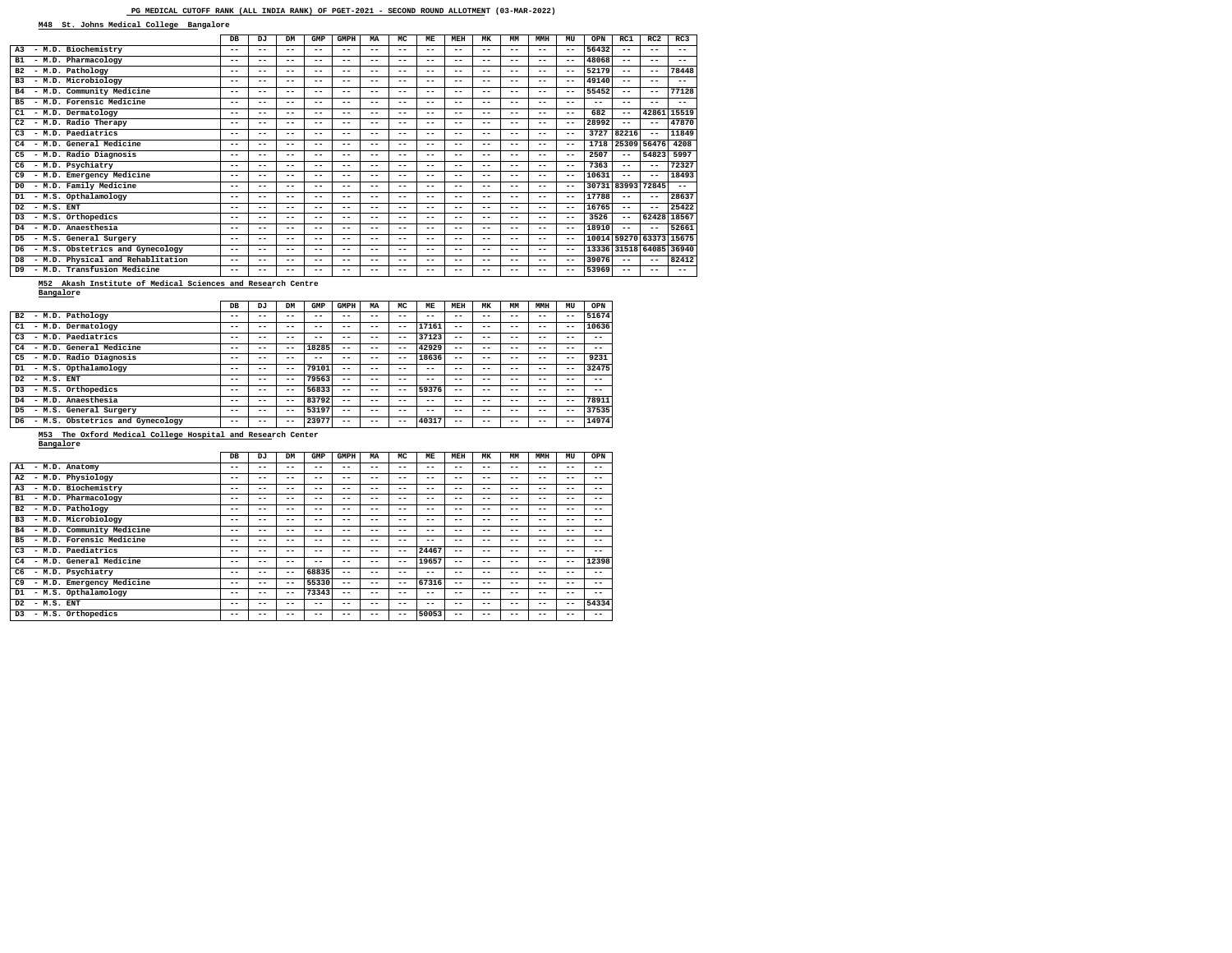**M48 St. Johns Medical College Bangalore**

**M52 Akash Institute of Medical Sciences and Research Centre Bangalore**

**M53 The Oxford Medical College Hospital and Research Center Bangalore**

|                                          | DB    | DJ    | <b>DM</b> | GMP   | <b>GMPH</b> | MA    | MC    | ME    | <b>MEH</b> | МK    | MM    | <b>MMH</b> | MU    | OPN         | RC1               | RC2   | RC3   |
|------------------------------------------|-------|-------|-----------|-------|-------------|-------|-------|-------|------------|-------|-------|------------|-------|-------------|-------------------|-------|-------|
| - M.D. Biochemistry<br>A <sub>3</sub>    | $- -$ | $- -$ | $- -$     | $- -$ | $- -$       | $- -$ | $- -$ | $- -$ | $- -$      | $- -$ | $- -$ | $- -$      | $- -$ | 56432       | $- -$             | $- -$ | $- -$ |
| - M.D. Pharmacology<br><b>B1</b>         | $- -$ | $- -$ | $- -$     | $- -$ | $- -$       | $- -$ | $- -$ | $- -$ | $- -$      | $- -$ | $- -$ | $- -$      | $- -$ | 48068       | $- -$             | $- -$ | $- -$ |
| - M.D. Pathology<br>B2                   | $- -$ | $ -$  | $- -$     | $ -$  | $- -$       | $- -$ | $- -$ | $- -$ | $- -$      | $- -$ | $- -$ | $- -$      | $- -$ | 52179       | $- -$             | $ -$  | 78448 |
| - M.D. Microbiology<br>B <sub>3</sub>    | $- -$ | $- -$ | $- -$     | $- -$ | $- -$       | $- -$ | $- -$ | $- -$ | $- -$      | $- -$ | $- -$ | $- -$      | $- -$ | 49140       | $- -$             | $- -$ | $- -$ |
| B4 - M.D. Community Medicine             | --    | $- -$ | $- -$     | $- -$ | $- -$       | --    | $- -$ | $- -$ | $- -$      | $- -$ | $- -$ | --         | $- -$ | 55452       | $- -$             | $- -$ | 77128 |
| - M.D. Forensic Medicine<br><b>B5</b>    | $- -$ | $- -$ | $- -$     | $- -$ | $- -$       | $- -$ | $- -$ | $- -$ | $- -$      | $- -$ | $- -$ | $- -$      | $- -$ | $- -$       | $- -$             | $- -$ | $- -$ |
| - M.D. Dermatology<br>C1                 | $- -$ | $- -$ | $- -$     | $- -$ | $- -$       | $- -$ | $- -$ | $- -$ | $- -$      | $- -$ | $- -$ | $- -$      | $- -$ | 682         | $- -$             | 42861 | 15519 |
| - M.D. Radio Therapy<br>C2               | $- -$ | $- -$ | $- -$     | $- -$ | $- -$       | $- -$ | $- -$ | $- -$ | $- -$      | $- -$ | $- -$ | $- -$      | $- -$ | 28992       | $- -$             | $ -$  | 47870 |
| - M.D. Paediatrics<br>C3                 | $- -$ | --    | $- -$     | $ -$  | $- -$       | $- -$ | $- -$ | $- -$ | $- -$      | $- -$ | $- -$ | $- -$      | $- -$ | 3727        | 82216             | $- -$ | 11849 |
| - M.D. General Medicine<br>C4            | $- -$ | $- -$ | $- -$     | $- -$ | $- -$       | $- -$ | $- -$ | $- -$ | $- -$      | $- -$ | $- -$ | --         | $- -$ | 1718        | 25309 56476       |       | 4208  |
| - M.D. Radio Diagnosis<br>C <sub>5</sub> | --    | $- -$ | $- -$     | $- -$ | $- -$       | $- -$ | $- -$ | $- -$ | $- -$      | $- -$ | $- -$ | $- -$      | $- -$ | 2507        | $- -$             | 54823 | 5997  |
| - M.D. Psychiatry<br>C6                  | $- -$ | $- -$ | $- -$     | $- -$ | $- -$       | $- -$ | $- -$ | $- -$ | $- -$      | $- -$ | $- -$ | $- -$      | $- -$ | 7363        | $- -$             | $- -$ | 72327 |
| - M.D. Emergency Medicine                | $- -$ | $- -$ | $- -$     | $- -$ | $- -$       | $- -$ | $- -$ | $- -$ | $- -$      | $- -$ | $- -$ | $- -$      | $- -$ | 10631       | $- -$             | $- -$ | 18493 |
| - M.D. Family Medicine<br>D0             | --    | $- -$ | $- -$     | $- -$ | $- -$       | --    | $- -$ | $- -$ | $- -$      | $- -$ | $- -$ | $- -$      | $- -$ | 30731       | 83993             | 72845 | $- -$ |
| - M.S. Opthalamology<br>D1               | $- -$ | $- -$ | $- -$     | $- -$ | $- -$       | $- -$ | $- -$ | $- -$ | $- -$      | $- -$ | $- -$ | $- -$      | $- -$ | 17788       | $- -$             | $- -$ | 28637 |
| $- M.S.$ ENT<br>D2                       | $- -$ | $- -$ | $- -$     | $- -$ | $- -$       | $- -$ | $- -$ | $- -$ | $- -$      | $- -$ | $- -$ | $- -$      | $- -$ | 16765       | $- -$             | $- -$ | 25422 |
| - M.S. Orthopedics<br>D3                 | $- -$ | --    | $- -$     | $- -$ | $- -$       | $- -$ | $ -$  | $- -$ | $- -$      | $- -$ | $- -$ | $- -$      | $- -$ | 3526        | $ -$              | 62428 | 18567 |
| D4 - M.D. Anaesthesia                    | $- -$ | $- -$ | $- -$     | $- -$ | $- -$       | $- -$ | $- -$ | $- -$ | $- -$      | $- -$ | $- -$ | $- -$      | $- -$ | 18910       | $- -$             | $- -$ | 52661 |
| - M.S. General Surgery<br>D5             | $- -$ | $- -$ | $- -$     | $- -$ | $- -$       | $- -$ | $- -$ | $- -$ | $- -$      | $- -$ | $- -$ | $- -$      | $- -$ | 10014 59270 |                   | 63373 | 15675 |
| - M.S. Obstetrics and Gynecology<br>D6 D | $- -$ | $- -$ | $- -$     | $- -$ | $- -$       | $- -$ | $- -$ | $- -$ | $- -$      | $- -$ | $- -$ | $- -$      | $- -$ |             | 13336 31518 64085 |       | 36940 |
| - M.D. Physical and Rehablitation<br>D8. | $- -$ | $- -$ | $- -$     | $- -$ | $- -$       | $- -$ | $- -$ | $- -$ | $- -$      | $- -$ | $- -$ | $- -$      | $- -$ | 39076       | $- -$             | $ -$  | 82412 |
| - M.D. Transfusion Medicine<br>D9.       | $- -$ | --    | $ -$      | $ -$  | $- -$       | $- -$ | $- -$ | $- -$ | $- -$      | $- -$ | --    | --         | $- -$ | 53969       | $- -$             | $- -$ | $- -$ |

|                                          | DB    | DJ    | DM    | GMP   | <b>GMPH</b> | MA    | MC    | ME    | MEH   | МK    | MМ    | MMH   | MU    | <b>OPN</b> |
|------------------------------------------|-------|-------|-------|-------|-------------|-------|-------|-------|-------|-------|-------|-------|-------|------------|
| - M.D. Pathology<br>B2                   | $- -$ | $- -$ | $- -$ | $- -$ | $- -$       | --    | $- -$ | $- -$ | $- -$ |       | $- -$ | $- -$ | $- -$ | 51674      |
| - M.D. Dermatology<br>C1                 | $ -$  | --    | $ -$  | $- -$ | --          | --    | $- -$ | 17161 | $- -$ |       | $ -$  | $- -$ | $- -$ | 10636      |
| - M.D. Paediatrics<br>C3                 | $ -$  | --    | $ -$  | $- -$ | --          | --    | $- -$ | 37123 | $- -$ |       | $ -$  | $- -$ | $- -$ | $- -$      |
| - M.D. General Medicine<br>C4            | $- -$ | $- -$ | $- -$ | 18285 | $- -$       | $- -$ | $- -$ | 42929 | $- -$ | $ -$  | $- -$ | $- -$ | $- -$ | $- -$      |
| - M.D. Radio Diagnosis<br>C5             | $- -$ | --    | $ -$  | $- -$ | $- -$       | --    | $- -$ | 18636 | $- -$ | $ -$  | $- -$ | $- -$ | $ -$  | 9231       |
| - M.S. Opthalamology<br>D1               | $ -$  | $- -$ | $ -$  | 79101 | $- -$       | $- -$ | $- -$ | $- -$ | --    | --    | $ -$  | $- -$ | $- -$ | 32475      |
| D2<br>$-$ M.S. ENT                       | $ -$  | $- -$ | $- -$ | 79563 | $- -$       | $- -$ | $- -$ | $- -$ | --    |       | $- -$ | $- -$ | $- -$ | $- -$      |
| - M.S. Orthopedics<br>D3                 | $- -$ | $- -$ | $- -$ | 56833 | $- -$       | $- -$ | $- -$ | 59376 | $- -$ | $- -$ | $- -$ | $- -$ | $- -$ | $- -$      |
| - M.D. Anaesthesia<br>D4.                | $- -$ | $- -$ | $- -$ | 83792 | $- -$       | $- -$ | $- -$ | $- -$ | --    | $ -$  | $- -$ | $- -$ | $- -$ | 78911      |
| - M.S. General Surgery<br>D5.            | $ -$  | $- -$ | $- -$ | 53197 | $- -$       | $- -$ | $- -$ | $- -$ | --    | --    | $- -$ | $- -$ | $- -$ | 37535      |
| - M.S. Obstetrics and Gynecology<br>D6 I | $ -$  | --    | $- -$ | 23977 | $- -$       | $- -$ | $- -$ | 40317 | $- -$ |       | $ -$  | $- -$ | $- -$ | 14974      |

|                                           | DB    | DJ    | DM    | GMP   | GMPH  | MA    | MC.   | ME    | MEH   | МK    | MМ    | MMH   | MU    | <b>OPN</b> |
|-------------------------------------------|-------|-------|-------|-------|-------|-------|-------|-------|-------|-------|-------|-------|-------|------------|
| A1<br>- M.D. Anatomy                      | $- -$ | $- -$ | --    | $- -$ | $- -$ | $- -$ | --    | $- -$ | $- -$ | $- -$ | --    | $- -$ | $- -$ | $- -$      |
| - M.D. Physiology<br>A <sub>2</sub>       | --    | --    | --    | $- -$ | $- -$ | $- -$ | --    | $- -$ | --    | $- -$ | --    | $- -$ | $- -$ | $- -$      |
| - M.D. Biochemistry<br>A <sub>3</sub>     | $- -$ | --    | $- -$ | $- -$ | $- -$ | $- -$ | --    | $- -$ | $- -$ | $- -$ | --    | $- -$ | $- -$ | $- -$      |
| - M.D. Pharmacology<br>B1                 | $- -$ | --    | --    | $- -$ | $- -$ | $- -$ | $- -$ | $- -$ | --    | --    | --    | $- -$ | $- -$ | $- -$      |
| - M.D. Pathology<br>B2                    | $- -$ | --    | $- -$ | $- -$ | $- -$ | $- -$ | --    | $- -$ | --    | $- -$ | --    | $- -$ | $- -$ | $- -$      |
| - M.D. Microbiology<br>B <sub>3</sub>     | $- -$ | --    | $- -$ | $- -$ | $- -$ | $- -$ | --    | $- -$ | --    | $- -$ | --    | $ -$  | $- -$ | $- -$      |
| - M.D. Community Medicine<br>в4           | $- -$ | --    | $- -$ | $- -$ | $- -$ | $- -$ | --    | $- -$ | --    | $- -$ | --    | $- -$ | $- -$ | $- -$      |
| - M.D. Forensic Medicine<br><b>B5</b>     | $- -$ | --    | --    | $- -$ | $- -$ | $- -$ | --    | $- -$ | --    | --    | --    | $- -$ | $- -$ | $- -$      |
| - M.D. Paediatrics<br>C <sub>3</sub>      | $- -$ | --    | $- -$ | $- -$ | $- -$ | $- -$ | $- -$ | 24467 | $- -$ | $- -$ | --    | $- -$ | $- -$ | $- -$      |
| - M.D. General Medicine<br>C <sub>4</sub> | $- -$ | --    | $- -$ | $- -$ | $- -$ | $- -$ | $- -$ | 19657 | $- -$ | $- -$ | --    | $- -$ | $- -$ | 12398      |
| - M.D. Psychiatry<br>C <sub>6</sub>       | $- -$ | --    | $- -$ | 68835 | $- -$ | $- -$ | --    | $- -$ | --    | $- -$ | $- -$ | $- -$ | $- -$ | $- -$      |
| C9<br>- M.D. Emergency Medicine           | $- -$ | --    | $- -$ | 55330 | $- -$ | $- -$ | $- -$ | 67316 | --    | $- -$ | --    | $- -$ | $- -$ | $- -$      |
| - M.S. Opthalamology<br>D1                | $- -$ | --    | $- -$ | 73343 | $- -$ | $- -$ | --    | $- -$ | --    | $- -$ | --    | $- -$ | $- -$ | $- -$      |
| D <sub>2</sub><br>$-$ M.S. $ENT$          | $- -$ | --    | $- -$ | $- -$ | $- -$ | $- -$ | --    | $- -$ | --    | $- -$ | $- -$ | $- -$ | $- -$ | 54334      |
| - M.S. Orthopedics<br>D3                  | $- -$ | --    | --    | $- -$ | $- -$ | $- -$ | $- -$ | 50053 | $- -$ | --    | --    | --    | $- -$ | $- -$      |
|                                           |       |       |       |       |       |       |       |       |       |       |       |       |       |            |